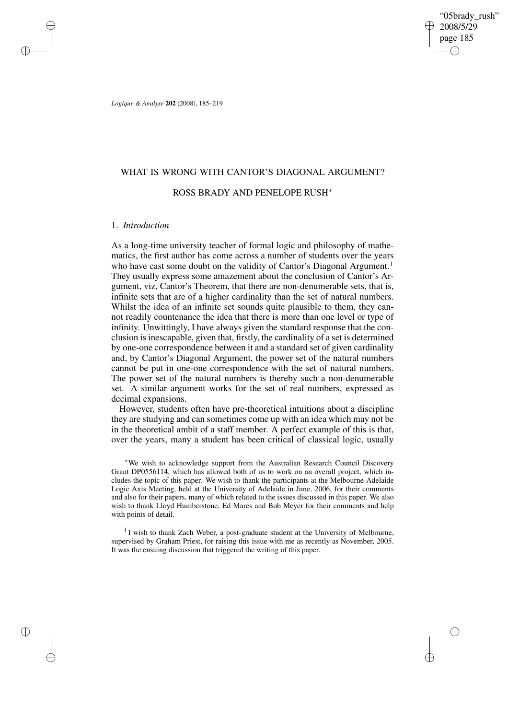"05brady\_rush" 2008/5/29 page 185 ✐ ✐

✐

✐

*Logique & Analyse* **202** (2008), 185–219

# WHAT IS WRONG WITH CANTOR'S DIAGONAL ARGUMENT?

## ROSS BRADY AND PENELOPE RUSH<sup>∗</sup>

#### 1. *Introduction*

✐

✐

✐

✐

As a long-time university teacher of formal logic and philosophy of mathematics, the first author has come across a number of students over the years who have cast some doubt on the validity of Cantor's Diagonal Argument.<sup>1</sup> They usually express some amazement about the conclusion of Cantor's Argument, viz, Cantor's Theorem, that there are non-denumerable sets, that is, infinite sets that are of a higher cardinality than the set of natural numbers. Whilst the idea of an infinite set sounds quite plausible to them, they cannot readily countenance the idea that there is more than one level or type of infinity. Unwittingly, I have always given the standard response that the conclusion is inescapable, given that, firstly, the cardinality of a set is determined by one-one correspondence between it and a standard set of given cardinality and, by Cantor's Diagonal Argument, the power set of the natural numbers cannot be put in one-one correspondence with the set of natural numbers. The power set of the natural numbers is thereby such a non-denumerable set. A similar argument works for the set of real numbers, expressed as decimal expansions.

However, students often have pre-theoretical intuitions about a discipline they are studying and can sometimes come up with an idea which may not be in the theoretical ambit of a staff member. A perfect example of this is that, over the years, many a student has been critical of classical logic, usually

<sup>∗</sup>We wish to acknowledge support from the Australian Research Council Discovery Grant DP0556114, which has allowed both of us to work on an overall project, which includes the topic of this paper. We wish to thank the participants at the Melbourne-Adelaide Logic Axis Meeting, held at the University of Adelaide in June, 2006, for their comments and also for their papers, many of which related to the issues discussed in this paper. We also wish to thank Lloyd Humberstone, Ed Mares and Bob Meyer for their comments and help with points of detail.

<sup>1</sup> I wish to thank Zach Weber, a post-graduate student at the University of Melbourne, supervised by Graham Priest, for raising this issue with me as recently as November, 2005. It was the ensuing discussion that triggered the writing of this paper.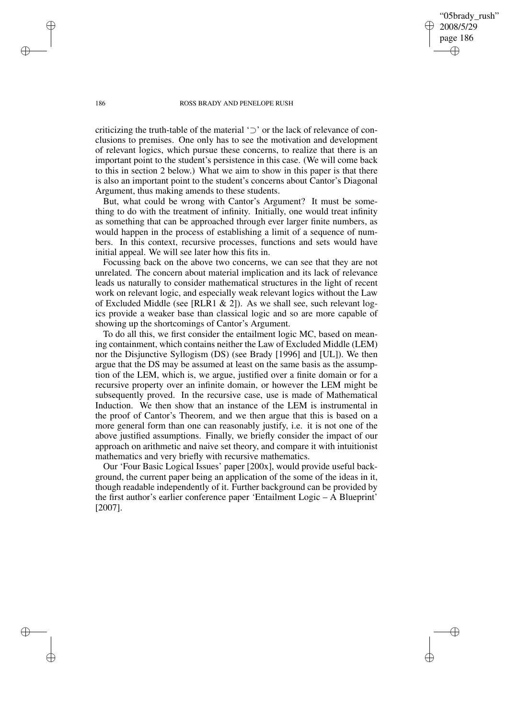"05brady\_rush" 2008/5/29 page 186 ✐ ✐

✐

✐

#### 186 ROSS BRADY AND PENELOPE RUSH

criticizing the truth-table of the material '⊃' or the lack of relevance of conclusions to premises. One only has to see the motivation and development of relevant logics, which pursue these concerns, to realize that there is an important point to the student's persistence in this case. (We will come back to this in section 2 below.) What we aim to show in this paper is that there is also an important point to the student's concerns about Cantor's Diagonal Argument, thus making amends to these students.

But, what could be wrong with Cantor's Argument? It must be something to do with the treatment of infinity. Initially, one would treat infinity as something that can be approached through ever larger finite numbers, as would happen in the process of establishing a limit of a sequence of numbers. In this context, recursive processes, functions and sets would have initial appeal. We will see later how this fits in.

Focussing back on the above two concerns, we can see that they are not unrelated. The concern about material implication and its lack of relevance leads us naturally to consider mathematical structures in the light of recent work on relevant logic, and especially weak relevant logics without the Law of Excluded Middle (see [RLR1 & 2]). As we shall see, such relevant logics provide a weaker base than classical logic and so are more capable of showing up the shortcomings of Cantor's Argument.

To do all this, we first consider the entailment logic MC, based on meaning containment, which contains neither the Law of Excluded Middle (LEM) nor the Disjunctive Syllogism (DS) (see Brady [1996] and [UL]). We then argue that the DS may be assumed at least on the same basis as the assumption of the LEM, which is, we argue, justified over a finite domain or for a recursive property over an infinite domain, or however the LEM might be subsequently proved. In the recursive case, use is made of Mathematical Induction. We then show that an instance of the LEM is instrumental in the proof of Cantor's Theorem, and we then argue that this is based on a more general form than one can reasonably justify, i.e. it is not one of the above justified assumptions. Finally, we briefly consider the impact of our approach on arithmetic and naive set theory, and compare it with intuitionist mathematics and very briefly with recursive mathematics.

Our 'Four Basic Logical Issues' paper [200x], would provide useful background, the current paper being an application of the some of the ideas in it, though readable independently of it. Further background can be provided by the first author's earlier conference paper 'Entailment Logic – A Blueprint' [2007].

✐

✐

✐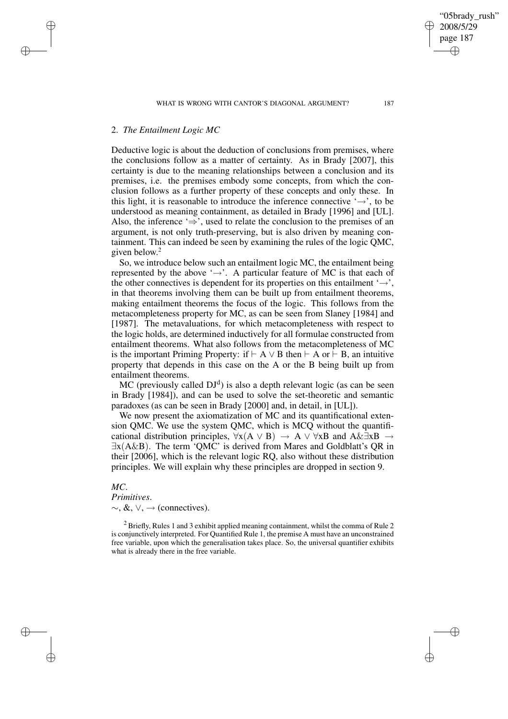## 2. *The Entailment Logic MC*

✐

✐

✐

✐

Deductive logic is about the deduction of conclusions from premises, where the conclusions follow as a matter of certainty. As in Brady [2007], this certainty is due to the meaning relationships between a conclusion and its premises, i.e. the premises embody some concepts, from which the conclusion follows as a further property of these concepts and only these. In this light, it is reasonable to introduce the inference connective  $\rightarrow$ , to be understood as meaning containment, as detailed in Brady [1996] and [UL]. Also, the inference ' $\Rightarrow$ ', used to relate the conclusion to the premises of an argument, is not only truth-preserving, but is also driven by meaning containment. This can indeed be seen by examining the rules of the logic QMC, given below. 2

So, we introduce below such an entailment logic MC, the entailment being represented by the above ' $\rightarrow$ '. A particular feature of MC is that each of the other connectives is dependent for its properties on this entailment  $\rightarrow$ , in that theorems involving them can be built up from entailment theorems, making entailment theorems the focus of the logic. This follows from the metacompleteness property for MC, as can be seen from Slaney [1984] and [1987]. The metavaluations, for which metacompleteness with respect to the logic holds, are determined inductively for all formulae constructed from entailment theorems. What also follows from the metacompleteness of MC is the important Priming Property: if  $\vdash A \lor B$  then  $\vdash A$  or  $\vdash B$ , an intuitive property that depends in this case on the A or the B being built up from entailment theorems.

 $MC$  (previously called  $DJ<sup>d</sup>$ ) is also a depth relevant logic (as can be seen in Brady [1984]), and can be used to solve the set-theoretic and semantic paradoxes (as can be seen in Brady [2000] and, in detail, in [UL]).

We now present the axiomatization of MC and its quantificational extension QMC. We use the system QMC, which is MCQ without the quantificational distribution principles,  $\forall x(A \lor B) \rightarrow A \lor \forall xB$  and  $A \& \exists xB \rightarrow$ ∃x(A&B). The term 'QMC' is derived from Mares and Goldblatt's QR in their [2006], which is the relevant logic RQ, also without these distribution principles. We will explain why these principles are dropped in section 9.

## *MC*.

## *Primitives*.

 $\sim$ , &,  $\vee$ ,  $\rightarrow$  (connectives).

<sup>2</sup> Briefly, Rules 1 and 3 exhibit applied meaning containment, whilst the comma of Rule 2 is conjunctively interpreted. For Quantified Rule 1, the premise A must have an unconstrained free variable, upon which the generalisation takes place. So, the universal quantifier exhibits what is already there in the free variable.

✐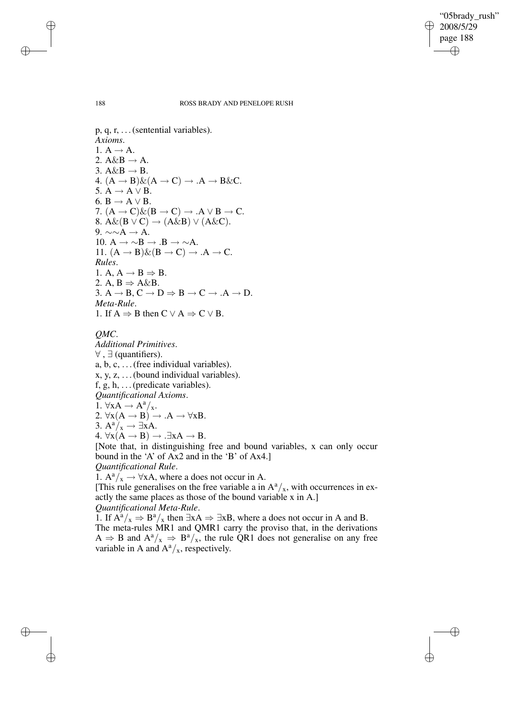✐

#### 188 ROSS BRADY AND PENELOPE RUSH

 $p, q, r, \ldots$  (sentential variables). *Axioms*. 1.  $A \rightarrow A$ . 2.  $A\&B \rightarrow A$ . 3.  $A\&B \rightarrow B$ . 4.  $(A \rightarrow B) \& (A \rightarrow C) \rightarrow .A \rightarrow B \& C.$ 5.  $A \rightarrow A \vee B$ . 6.  $B \rightarrow A \vee B$ . 7.  $(A \rightarrow C) \& (B \rightarrow C) \rightarrow .A \lor B \rightarrow C$ . 8.  $A\&(B \vee C) \rightarrow (A\&B) \vee (A\&C)$ . 9.  $\sim \sim A \rightarrow A$ . 10.  $A \rightarrow \sim B \rightarrow B \rightarrow \sim A$ . 11.  $(A \rightarrow B) \& (B \rightarrow C) \rightarrow .A \rightarrow C$ . *Rules*. 1. A,  $A \rightarrow B \Rightarrow B$ . 2. A,  $B \Rightarrow A \& B$ . 3.  $A \rightarrow B$ ,  $C \rightarrow D \Rightarrow B \rightarrow C \rightarrow A \rightarrow D$ . *Meta-Rule*. 1. If  $A \Rightarrow B$  then  $C \lor A \Rightarrow C \lor B$ .

*QMC*.

*Additional Primitives*.  $\forall$ ,  $\exists$  (quantifiers). a, b, c, . . .(free individual variables). x, y, z, . . .(bound individual variables). f, g, h,  $\dots$  (predicate variables). *Quantificational Axioms*. 1.  $\forall x A \rightarrow A^a/x$ . 2.  $\forall x(A \rightarrow B) \rightarrow .A \rightarrow \forall xB$ . 3.  $A^a/x \rightarrow \exists xA$ . 4.  $\forall x(A \rightarrow B) \rightarrow .\exists xA \rightarrow B$ . [Note that, in distinguishing free and bound variables, x can only occur bound in the 'A' of Ax2 and in the 'B' of Ax4.] *Quantificational Rule*. 1.  $A^a/x \rightarrow \forall xA$ , where a does not occur in A.

[This rule generalises on the free variable a in  $A^a/x$ , with occurrences in exactly the same places as those of the bound variable x in A.]

*Quantificational Meta-Rule*.

1. If  $A^a/x \Rightarrow B^a/x$  then  $\exists xA \Rightarrow \exists xB$ , where a does not occur in A and B. The meta-rules MR1 and QMR1 carry the proviso that, in the derivations  $A \Rightarrow B$  and  $A^a/x \Rightarrow B^a/x$ , the rule QR1 does not generalise on any free variable in A and  $A^a/x$ , respectively.

✐

✐

✐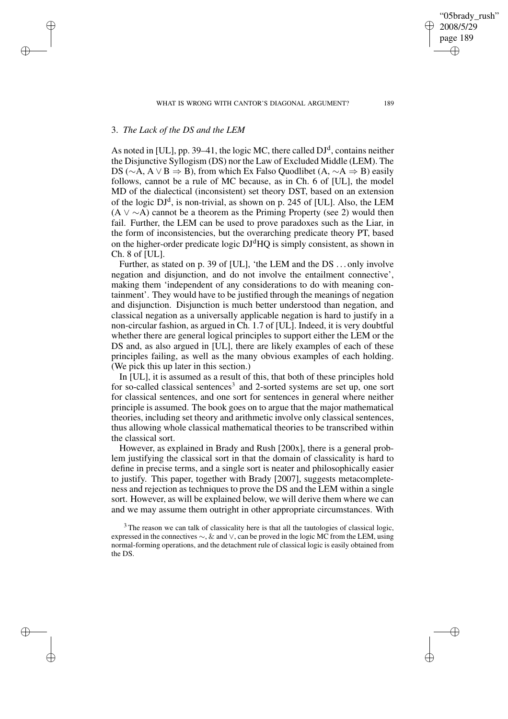WHAT IS WRONG WITH CANTOR'S DIAGONAL ARGUMENT? 189

## 3. *The Lack of the DS and the LEM*

✐

✐

✐

✐

As noted in [UL], pp. 39–41, the logic MC, there called  $DJ<sup>d</sup>$ , contains neither the Disjunctive Syllogism (DS) nor the Law of Excluded Middle (LEM). The DS ( $\sim$ A, A  $\vee$  B  $\Rightarrow$  B), from which Ex Falso Quodlibet (A,  $\sim$ A  $\Rightarrow$  B) easily follows, cannot be a rule of MC because, as in Ch. 6 of [UL], the model MD of the dialectical (inconsistent) set theory DST, based on an extension of the logic  $DJ<sup>d</sup>$ , is non-trivial, as shown on p. 245 of [UL]. Also, the LEM  $(A \vee \sim A)$  cannot be a theorem as the Priming Property (see 2) would then fail. Further, the LEM can be used to prove paradoxes such as the Liar, in the form of inconsistencies, but the overarching predicate theory PT, based on the higher-order predicate logic  $DJ<sup>d</sup>HQ$  is simply consistent, as shown in Ch. 8 of [UL].

Further, as stated on p. 39 of [UL], 'the LEM and the DS . . . only involve negation and disjunction, and do not involve the entailment connective', making them 'independent of any considerations to do with meaning containment'. They would have to be justified through the meanings of negation and disjunction. Disjunction is much better understood than negation, and classical negation as a universally applicable negation is hard to justify in a non-circular fashion, as argued in Ch. 1.7 of [UL]. Indeed, it is very doubtful whether there are general logical principles to support either the LEM or the DS and, as also argued in [UL], there are likely examples of each of these principles failing, as well as the many obvious examples of each holding. (We pick this up later in this section.)

In [UL], it is assumed as a result of this, that both of these principles hold for so-called classical sentences<sup>3</sup> and 2-sorted systems are set up, one sort for classical sentences, and one sort for sentences in general where neither principle is assumed. The book goes on to argue that the major mathematical theories, including set theory and arithmetic involve only classical sentences, thus allowing whole classical mathematical theories to be transcribed within the classical sort.

However, as explained in Brady and Rush [200x], there is a general problem justifying the classical sort in that the domain of classicality is hard to define in precise terms, and a single sort is neater and philosophically easier to justify. This paper, together with Brady [2007], suggests metacompleteness and rejection as techniques to prove the DS and the LEM within a single sort. However, as will be explained below, we will derive them where we can and we may assume them outright in other appropriate circumstances. With

"05brady\_rush" 2008/5/29 page 189

✐

✐

✐

<sup>&</sup>lt;sup>3</sup> The reason we can talk of classicality here is that all the tautologies of classical logic, expressed in the connectives ∼, & and ∨, can be proved in the logic MC from the LEM, using normal-forming operations, and the detachment rule of classical logic is easily obtained from the DS.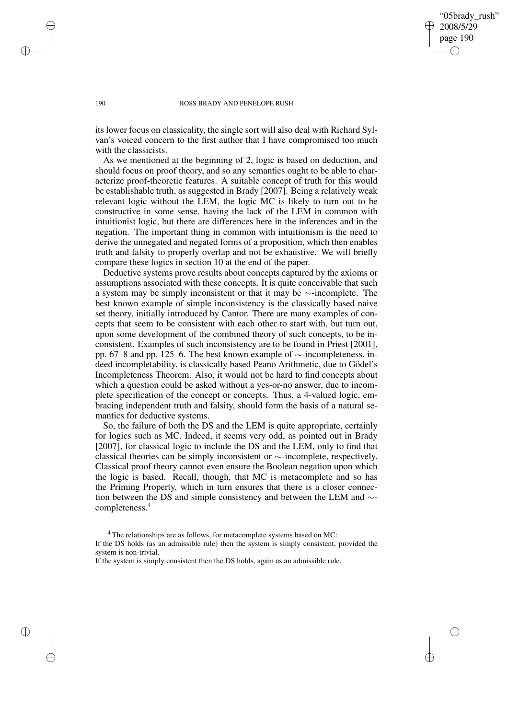"05brady\_rush" 2008/5/29 page 190 ✐ ✐

✐

✐

#### 190 ROSS BRADY AND PENELOPE RUSH

its lower focus on classicality, the single sort will also deal with Richard Sylvan's voiced concern to the first author that I have compromised too much with the classicists.

As we mentioned at the beginning of 2, logic is based on deduction, and should focus on proof theory, and so any semantics ought to be able to characterize proof-theoretic features. A suitable concept of truth for this would be establishable truth, as suggested in Brady [2007]. Being a relatively weak relevant logic without the LEM, the logic MC is likely to turn out to be constructive in some sense, having the lack of the LEM in common with intuitionist logic, but there are differences here in the inferences and in the negation. The important thing in common with intuitionism is the need to derive the unnegated and negated forms of a proposition, which then enables truth and falsity to properly overlap and not be exhaustive. We will briefly compare these logics in section 10 at the end of the paper.

Deductive systems prove results about concepts captured by the axioms or assumptions associated with these concepts. It is quite conceivable that such a system may be simply inconsistent or that it may be ∼-incomplete. The best known example of simple inconsistency is the classically based naive set theory, initially introduced by Cantor. There are many examples of concepts that seem to be consistent with each other to start with, but turn out, upon some development of the combined theory of such concepts, to be inconsistent. Examples of such inconsistency are to be found in Priest [2001], pp. 67–8 and pp. 125–6. The best known example of ∼-incompleteness, indeed incompletability, is classically based Peano Arithmetic, due to Gödel's Incompleteness Theorem. Also, it would not be hard to find concepts about which a question could be asked without a yes-or-no answer, due to incomplete specification of the concept or concepts. Thus, a 4-valued logic, embracing independent truth and falsity, should form the basis of a natural semantics for deductive systems.

So, the failure of both the DS and the LEM is quite appropriate, certainly for logics such as MC. Indeed, it seems very odd, as pointed out in Brady [2007], for classical logic to include the DS and the LEM, only to find that classical theories can be simply inconsistent or ∼-incomplete, respectively. Classical proof theory cannot even ensure the Boolean negation upon which the logic is based. Recall, though, that MC is metacomplete and so has the Priming Property, which in turn ensures that there is a closer connection between the DS and simple consistency and between the LEM and ∼ completeness.<sup>4</sup>

✐

✐

✐

<sup>&</sup>lt;sup>4</sup> The relationships are as follows, for metacomplete systems based on MC: If the DS holds (as an admissible rule) then the system is simply consistent, provided the system is non-trivial.

If the system is simply consistent then the DS holds, again as an admissible rule.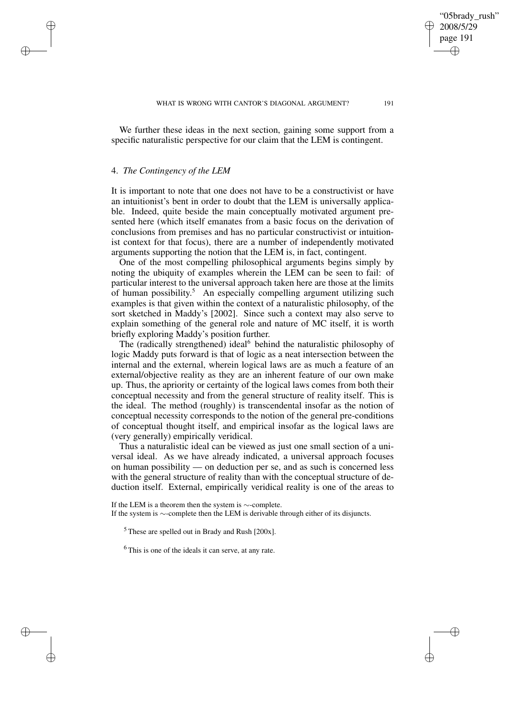We further these ideas in the next section, gaining some support from a specific naturalistic perspective for our claim that the LEM is contingent.

#### 4. *The Contingency of the LEM*

✐

✐

✐

✐

It is important to note that one does not have to be a constructivist or have an intuitionist's bent in order to doubt that the LEM is universally applicable. Indeed, quite beside the main conceptually motivated argument presented here (which itself emanates from a basic focus on the derivation of conclusions from premises and has no particular constructivist or intuitionist context for that focus), there are a number of independently motivated arguments supporting the notion that the LEM is, in fact, contingent.

One of the most compelling philosophical arguments begins simply by noting the ubiquity of examples wherein the LEM can be seen to fail: of particular interest to the universal approach taken here are those at the limits of human possibility. <sup>5</sup> An especially compelling argument utilizing such examples is that given within the context of a naturalistic philosophy, of the sort sketched in Maddy's [2002]. Since such a context may also serve to explain something of the general role and nature of MC itself, it is worth briefly exploring Maddy's position further.

The (radically strengthened) ideal<sup>6</sup> behind the naturalistic philosophy of logic Maddy puts forward is that of logic as a neat intersection between the internal and the external, wherein logical laws are as much a feature of an external/objective reality as they are an inherent feature of our own make up. Thus, the apriority or certainty of the logical laws comes from both their conceptual necessity and from the general structure of reality itself. This is the ideal. The method (roughly) is transcendental insofar as the notion of conceptual necessity corresponds to the notion of the general pre-conditions of conceptual thought itself, and empirical insofar as the logical laws are (very generally) empirically veridical.

Thus a naturalistic ideal can be viewed as just one small section of a universal ideal. As we have already indicated, a universal approach focuses on human possibility — on deduction per se, and as such is concerned less with the general structure of reality than with the conceptual structure of deduction itself. External, empirically veridical reality is one of the areas to

If the LEM is a theorem then the system is ∼-complete. If the system is ∼-complete then the LEM is derivable through either of its disjuncts.

 $<sup>5</sup>$  These are spelled out in Brady and Rush [200x].</sup>

<sup>6</sup> This is one of the ideals it can serve, at any rate.

"05brady\_rush" 2008/5/29 page 191

✐

✐

✐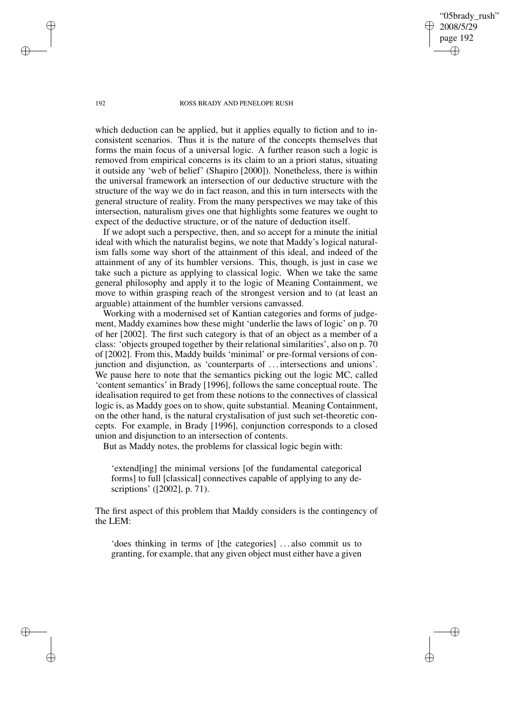"05brady\_rush" 2008/5/29 page 192 ✐ ✐

✐

✐

#### 192 ROSS BRADY AND PENELOPE RUSH

which deduction can be applied, but it applies equally to fiction and to inconsistent scenarios. Thus it is the nature of the concepts themselves that forms the main focus of a universal logic. A further reason such a logic is removed from empirical concerns is its claim to an a priori status, situating it outside any 'web of belief' (Shapiro [2000]). Nonetheless, there is within the universal framework an intersection of our deductive structure with the structure of the way we do in fact reason, and this in turn intersects with the general structure of reality. From the many perspectives we may take of this intersection, naturalism gives one that highlights some features we ought to expect of the deductive structure, or of the nature of deduction itself.

If we adopt such a perspective, then, and so accept for a minute the initial ideal with which the naturalist begins, we note that Maddy's logical naturalism falls some way short of the attainment of this ideal, and indeed of the attainment of any of its humbler versions. This, though, is just in case we take such a picture as applying to classical logic. When we take the same general philosophy and apply it to the logic of Meaning Containment, we move to within grasping reach of the strongest version and to (at least an arguable) attainment of the humbler versions canvassed.

Working with a modernised set of Kantian categories and forms of judgement, Maddy examines how these might 'underlie the laws of logic' on p. 70 of her [2002]. The first such category is that of an object as a member of a class: 'objects grouped together by their relational similarities', also on p. 70 of [2002]. From this, Maddy builds 'minimal' or pre-formal versions of conjunction and disjunction, as 'counterparts of . . . intersections and unions'. We pause here to note that the semantics picking out the logic MC, called 'content semantics' in Brady [1996], follows the same conceptual route. The idealisation required to get from these notions to the connectives of classical logic is, as Maddy goes on to show, quite substantial. Meaning Containment, on the other hand, is the natural crystalisation of just such set-theoretic concepts. For example, in Brady [1996], conjunction corresponds to a closed union and disjunction to an intersection of contents.

But as Maddy notes, the problems for classical logic begin with:

'extend[ing] the minimal versions [of the fundamental categorical forms] to full [classical] connectives capable of applying to any descriptions' ([2002], p. 71).

The first aspect of this problem that Maddy considers is the contingency of the LEM:

'does thinking in terms of [the categories] . . . also commit us to granting, for example, that any given object must either have a given

✐

✐

✐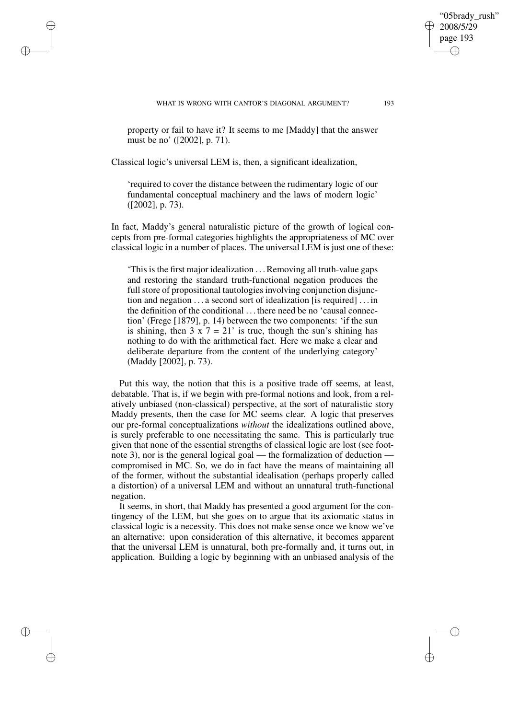WHAT IS WRONG WITH CANTOR'S DIAGONAL ARGUMENT? 193

property or fail to have it? It seems to me [Maddy] that the answer must be no' ([2002], p. 71).

Classical logic's universal LEM is, then, a significant idealization,

✐

✐

✐

✐

'required to cover the distance between the rudimentary logic of our fundamental conceptual machinery and the laws of modern logic' ([2002], p. 73).

In fact, Maddy's general naturalistic picture of the growth of logical concepts from pre-formal categories highlights the appropriateness of MC over classical logic in a number of places. The universal LEM is just one of these:

'This is the first major idealization . . .Removing all truth-value gaps and restoring the standard truth-functional negation produces the full store of propositional tautologies involving conjunction disjunction and negation . . . a second sort of idealization [is required] . . . in the definition of the conditional . . . there need be no 'causal connection' (Frege [1879], p. 14) between the two components: 'if the sun is shining, then  $3 \times 7 = 21'$  is true, though the sun's shining has nothing to do with the arithmetical fact. Here we make a clear and deliberate departure from the content of the underlying category' (Maddy [2002], p. 73).

Put this way, the notion that this is a positive trade off seems, at least, debatable. That is, if we begin with pre-formal notions and look, from a relatively unbiased (non-classical) perspective, at the sort of naturalistic story Maddy presents, then the case for MC seems clear. A logic that preserves our pre-formal conceptualizations *without* the idealizations outlined above, is surely preferable to one necessitating the same. This is particularly true given that none of the essential strengths of classical logic are lost (see footnote 3), nor is the general logical goal — the formalization of deduction compromised in MC. So, we do in fact have the means of maintaining all of the former, without the substantial idealisation (perhaps properly called a distortion) of a universal LEM and without an unnatural truth-functional negation.

It seems, in short, that Maddy has presented a good argument for the contingency of the LEM, but she goes on to argue that its axiomatic status in classical logic is a necessity. This does not make sense once we know we've an alternative: upon consideration of this alternative, it becomes apparent that the universal LEM is unnatural, both pre-formally and, it turns out, in application. Building a logic by beginning with an unbiased analysis of the

"05brady\_rush" 2008/5/29 page 193

✐

✐

✐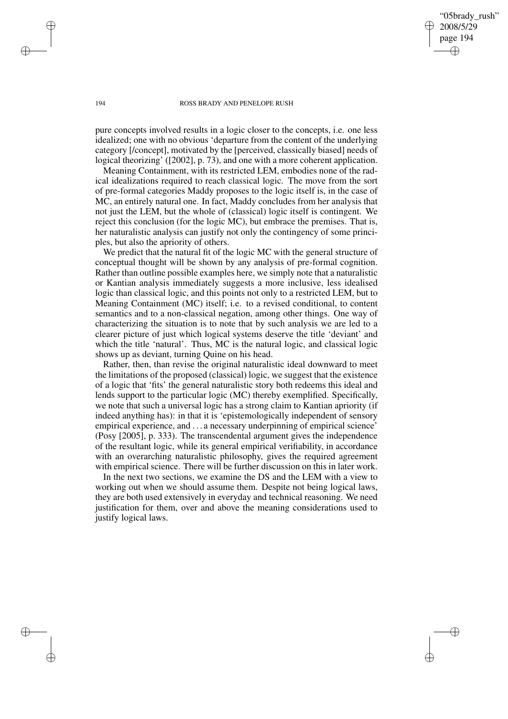"05brady\_rush" 2008/5/29 page 194 ✐ ✐

✐

✐

#### 194 ROSS BRADY AND PENELOPE RUSH

pure concepts involved results in a logic closer to the concepts, i.e. one less idealized; one with no obvious 'departure from the content of the underlying category [/concept], motivated by the [perceived, classically biased] needs of logical theorizing' ([2002], p. 73), and one with a more coherent application.

Meaning Containment, with its restricted LEM, embodies none of the radical idealizations required to reach classical logic. The move from the sort of pre-formal categories Maddy proposes to the logic itself is, in the case of MC, an entirely natural one. In fact, Maddy concludes from her analysis that not just the LEM, but the whole of (classical) logic itself is contingent. We reject this conclusion (for the logic MC), but embrace the premises. That is, her naturalistic analysis can justify not only the contingency of some principles, but also the apriority of others.

We predict that the natural fit of the logic MC with the general structure of conceptual thought will be shown by any analysis of pre-formal cognition. Rather than outline possible examples here, we simply note that a naturalistic or Kantian analysis immediately suggests a more inclusive, less idealised logic than classical logic, and this points not only to a restricted LEM, but to Meaning Containment (MC) itself; i.e. to a revised conditional, to content semantics and to a non-classical negation, among other things. One way of characterizing the situation is to note that by such analysis we are led to a clearer picture of just which logical systems deserve the title 'deviant' and which the title 'natural'. Thus, MC is the natural logic, and classical logic shows up as deviant, turning Quine on his head.

Rather, then, than revise the original naturalistic ideal downward to meet the limitations of the proposed (classical) logic, we suggest that the existence of a logic that 'fits' the general naturalistic story both redeems this ideal and lends support to the particular logic (MC) thereby exemplified. Specifically, we note that such a universal logic has a strong claim to Kantian apriority (if indeed anything has): in that it is 'epistemologically independent of sensory empirical experience, and . . . a necessary underpinning of empirical science' (Posy [2005], p. 333). The transcendental argument gives the independence of the resultant logic, while its general empirical verifiability, in accordance with an overarching naturalistic philosophy, gives the required agreement with empirical science. There will be further discussion on this in later work.

In the next two sections, we examine the DS and the LEM with a view to working out when we should assume them. Despite not being logical laws, they are both used extensively in everyday and technical reasoning. We need justification for them, over and above the meaning considerations used to justify logical laws.

✐

✐

✐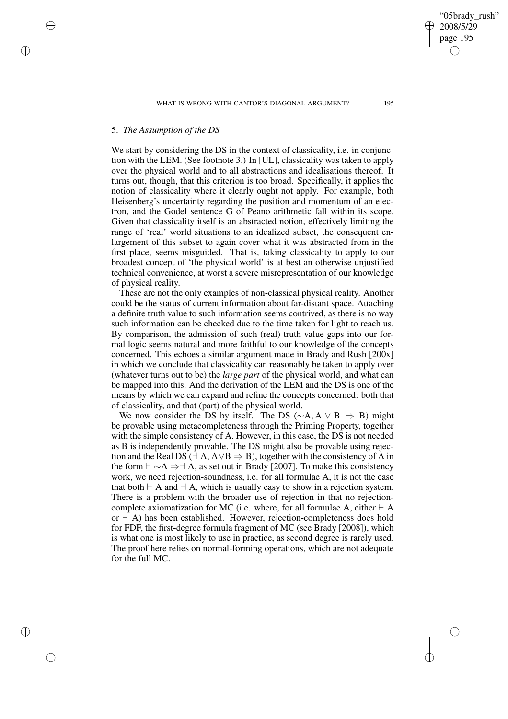✐

✐

✐

We start by considering the DS in the context of classicality, i.e. in conjunction with the LEM. (See footnote 3.) In [UL], classicality was taken to apply over the physical world and to all abstractions and idealisations thereof. It turns out, though, that this criterion is too broad. Specifically, it applies the notion of classicality where it clearly ought not apply. For example, both Heisenberg's uncertainty regarding the position and momentum of an electron, and the Gödel sentence G of Peano arithmetic fall within its scope. Given that classicality itself is an abstracted notion, effectively limiting the range of 'real' world situations to an idealized subset, the consequent enlargement of this subset to again cover what it was abstracted from in the first place, seems misguided. That is, taking classicality to apply to our broadest concept of 'the physical world' is at best an otherwise unjustified technical convenience, at worst a severe misrepresentation of our knowledge of physical reality.

These are not the only examples of non-classical physical reality. Another could be the status of current information about far-distant space. Attaching a definite truth value to such information seems contrived, as there is no way such information can be checked due to the time taken for light to reach us. By comparison, the admission of such (real) truth value gaps into our formal logic seems natural and more faithful to our knowledge of the concepts concerned. This echoes a similar argument made in Brady and Rush [200x] in which we conclude that classicality can reasonably be taken to apply over (whatever turns out to be) the *large part* of the physical world, and what can be mapped into this. And the derivation of the LEM and the DS is one of the means by which we can expand and refine the concepts concerned: both that of classicality, and that (part) of the physical world.

We now consider the DS by itself. The DS ( $\sim$ A, A  $\vee$  B  $\Rightarrow$  B) might be provable using metacompleteness through the Priming Property, together with the simple consistency of A. However, in this case, the DS is not needed as B is independently provable. The DS might also be provable using rejection and the Real DS ( $\exists$  A, A $\lor$ B  $\Rightarrow$  B), together with the consistency of A in the form  $\vdash \neg A \Rightarrow \neg A$ , as set out in Brady [2007]. To make this consistency work, we need rejection-soundness, i.e. for all formulae A, it is not the case that both  $\vdash$  A and  $\neg A$ , which is usually easy to show in a rejection system. There is a problem with the broader use of rejection in that no rejectioncomplete axiomatization for MC (i.e. where, for all formulae A, either  $\vdash A$ or  $\vdash$  A) has been established. However, rejection-completeness does hold for FDF, the first-degree formula fragment of MC (see Brady [2008]), which is what one is most likely to use in practice, as second degree is rarely used. The proof here relies on normal-forming operations, which are not adequate for the full MC.

✐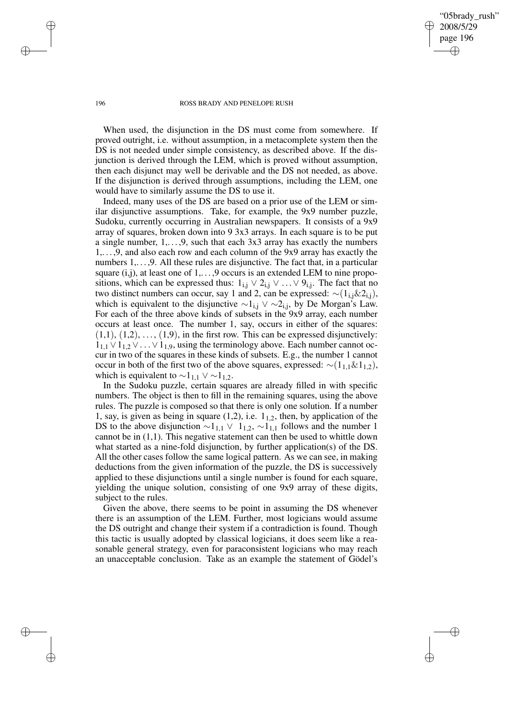"05brady\_rush" 2008/5/29 page 196 ✐ ✐

✐

✐

#### 196 ROSS BRADY AND PENELOPE RUSH

When used, the disjunction in the DS must come from somewhere. If proved outright, i.e. without assumption, in a metacomplete system then the DS is not needed under simple consistency, as described above. If the disjunction is derived through the LEM, which is proved without assumption, then each disjunct may well be derivable and the DS not needed, as above. If the disjunction is derived through assumptions, including the LEM, one would have to similarly assume the DS to use it.

Indeed, many uses of the DS are based on a prior use of the LEM or similar disjunctive assumptions. Take, for example, the 9x9 number puzzle, Sudoku, currently occurring in Australian newspapers. It consists of a 9x9 array of squares, broken down into 9 3x3 arrays. In each square is to be put a single number,  $1, \ldots, 9$ , such that each  $3x3$  array has exactly the numbers 1,. . . ,9, and also each row and each column of the 9x9 array has exactly the numbers 1, ..., 9. All these rules are disjunctive. The fact that, in a particular square  $(i,j)$ , at least one of  $1, \ldots, 9$  occurs is an extended LEM to nine propositions, which can be expressed thus:  $1_{i,j} \vee 2_{i,j} \vee \ldots \vee 9_{i,j}$ . The fact that no two distinct numbers can occur, say 1 and 2, can be expressed:  $\sim$ (1<sub>i,j</sub>&2<sub>i,j</sub>), which is equivalent to the disjunctive  $\sim$ 1<sub>i,j</sub> ∨  $\sim$ 2<sub>i,j</sub>, by De Morgan's Law. For each of the three above kinds of subsets in the 9x9 array, each number occurs at least once. The number 1, say, occurs in either of the squares:  $(1,1), (1,2), \ldots, (1,9)$ , in the first row. This can be expressed disjunctively:  $1_{1,1} \vee 1_{1,2} \vee \ldots \vee 1_{1,9}$ , using the terminology above. Each number cannot occur in two of the squares in these kinds of subsets. E.g., the number 1 cannot occur in both of the first two of the above squares, expressed:  $\sim$ (1<sub>1,1</sub>&1<sub>1,2</sub>), which is equivalent to  $\sim$ 1<sub>1,1</sub> ∨  $\sim$ 1<sub>1,2</sub>.

In the Sudoku puzzle, certain squares are already filled in with specific numbers. The object is then to fill in the remaining squares, using the above rules. The puzzle is composed so that there is only one solution. If a number 1, say, is given as being in square (1,2), i.e.  $1_{1,2}$ , then, by application of the DS to the above disjunction  $\sim$ 1<sub>1,1</sub>  $\vee$  1<sub>1,2</sub>,  $\sim$ 1<sub>1,1</sub> follows and the number 1 cannot be in  $(1,1)$ . This negative statement can then be used to whittle down what started as a nine-fold disjunction, by further application(s) of the DS. All the other cases follow the same logical pattern. As we can see, in making deductions from the given information of the puzzle, the DS is successively applied to these disjunctions until a single number is found for each square, yielding the unique solution, consisting of one 9x9 array of these digits, subject to the rules.

Given the above, there seems to be point in assuming the DS whenever there is an assumption of the LEM. Further, most logicians would assume the DS outright and change their system if a contradiction is found. Though this tactic is usually adopted by classical logicians, it does seem like a reasonable general strategy, even for paraconsistent logicians who may reach an unacceptable conclusion. Take as an example the statement of Gödel's

✐

✐

✐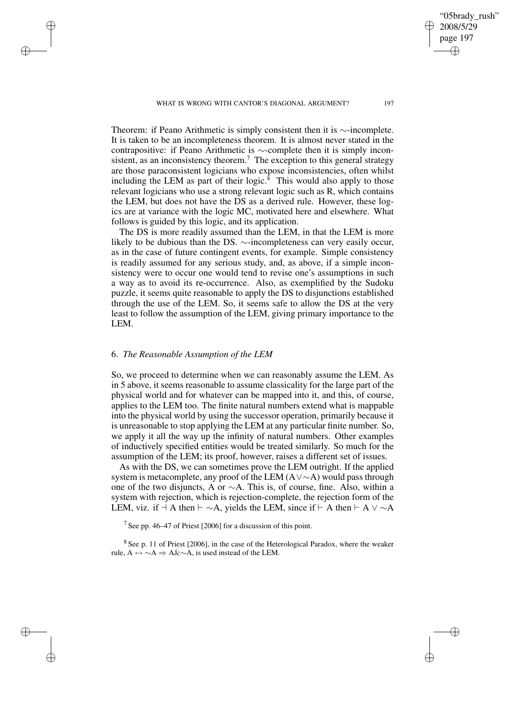Theorem: if Peano Arithmetic is simply consistent then it is ∼-incomplete. It is taken to be an incompleteness theorem. It is almost never stated in the contrapositive: if Peano Arithmetic is ∼-complete then it is simply inconsistent, as an inconsistency theorem.<sup>7</sup> The exception to this general strategy are those paraconsistent logicians who expose inconsistencies, often whilst including the LEM as part of their logic. $\frac{8}{3}$  This would also apply to those relevant logicians who use a strong relevant logic such as R, which contains the LEM, but does not have the DS as a derived rule. However, these logics are at variance with the logic MC, motivated here and elsewhere. What follows is guided by this logic, and its application.

The DS is more readily assumed than the LEM, in that the LEM is more likely to be dubious than the DS. ∼-incompleteness can very easily occur, as in the case of future contingent events, for example. Simple consistency is readily assumed for any serious study, and, as above, if a simple inconsistency were to occur one would tend to revise one's assumptions in such a way as to avoid its re-occurrence. Also, as exemplified by the Sudoku puzzle, it seems quite reasonable to apply the DS to disjunctions established through the use of the LEM. So, it seems safe to allow the DS at the very least to follow the assumption of the LEM, giving primary importance to the LEM.

## 6. *The Reasonable Assumption of the LEM*

✐

✐

✐

✐

So, we proceed to determine when we can reasonably assume the LEM. As in 5 above, it seems reasonable to assume classicality for the large part of the physical world and for whatever can be mapped into it, and this, of course, applies to the LEM too. The finite natural numbers extend what is mappable into the physical world by using the successor operation, primarily because it is unreasonable to stop applying the LEM at any particular finite number. So, we apply it all the way up the infinity of natural numbers. Other examples of inductively specified entities would be treated similarly. So much for the assumption of the LEM; its proof, however, raises a different set of issues.

As with the DS, we can sometimes prove the LEM outright. If the applied system is metacomplete, any proof of the LEM (A∨∼A) would pass through one of the two disjuncts, A or ∼A. This is, of course, fine. Also, within a system with rejection, which is rejection-complete, the rejection form of the LEM, viz. if  $\exists$  A then  $\vdash \sim A$ , yields the LEM, since if  $\vdash$  A then  $\vdash$  A  $\lor \sim$ A

<sup>7</sup> See pp. 46–47 of Priest [2006] for a discussion of this point.

 $8$  See p. 11 of Priest [2006], in the case of the Heterological Paradox, where the weaker rule,  $A \leftrightarrow \sim A \Rightarrow A \& \sim A$ , is used instead of the LEM.

## page 197 ✐

✐

✐

✐

"05brady\_rush" 2008/5/29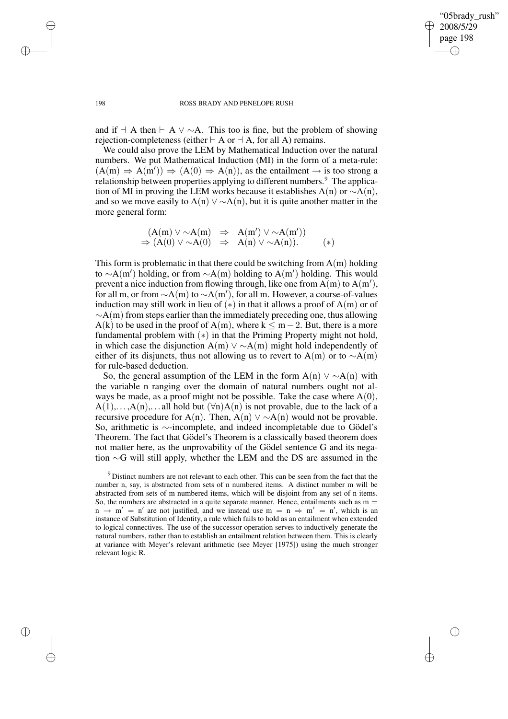✐

#### 198 ROSS BRADY AND PENELOPE RUSH

and if  $\exists$  A then  $\vdash$  A  $\lor$  ∼A. This too is fine, but the problem of showing rejection-completeness (either  $\vdash A$  or  $\neg A$ , for all A) remains.

We could also prove the LEM by Mathematical Induction over the natural numbers. We put Mathematical Induction (MI) in the form of a meta-rule:  $(A(m) \Rightarrow A(m')) \Rightarrow (A(0) \Rightarrow A(n))$ , as the entailment  $\rightarrow$  is too strong a relationship between properties applying to different numbers.<sup>9</sup> The application of MI in proving the LEM works because it establishes A(n) or  $\sim$ A(n), and so we move easily to  $A(n) \vee \sim A(n)$ , but it is quite another matter in the more general form:

$$
(A(m) \vee \sim A(m) \Rightarrow A(m') \vee \sim A(m'))
$$
  
\n
$$
\Rightarrow (A(0) \vee \sim A(0) \Rightarrow A(n) \vee \sim A(n)).
$$
 (\*)

This form is problematic in that there could be switching from  $A(m)$  holding to ~A(m') holding, or from ~A(m) holding to A(m') holding. This would prevent a nice induction from flowing through, like one from  $\overline{A}(m)$  to  $A(m')$ , for all m, or from  $\sim A(m)$  to  $\sim A(m')$ , for all m. However, a course-of-values induction may still work in lieu of  $(*)$  in that it allows a proof of A(m) or of  $~\sim$ A(m) from steps earlier than the immediately preceding one, thus allowing A(k) to be used in the proof of A(m), where  $k \le m-2$ . But, there is a more fundamental problem with  $(*)$  in that the Priming Property might not hold, in which case the disjunction A(m)  $\vee \sim A(m)$  might hold independently of either of its disjuncts, thus not allowing us to revert to A(m) or to  $\sim$ A(m) for rule-based deduction.

So, the general assumption of the LEM in the form A(n)  $\vee \sim A(n)$  with the variable n ranging over the domain of natural numbers ought not always be made, as a proof might not be possible. Take the case where  $A(0)$ ,  $A(1), \ldots, A(n), \ldots$  all hold but  $(\forall n)A(n)$  is not provable, due to the lack of a recursive procedure for A(n). Then, A(n)  $\vee \sim A(n)$  would not be provable. So, arithmetic is ∼-incomplete, and indeed incompletable due to Gödel's Theorem. The fact that Gödel's Theorem is a classically based theorem does not matter here, as the unprovability of the Gödel sentence G and its negation ∼G will still apply, whether the LEM and the DS are assumed in the

✐

✐

✐

<sup>&</sup>lt;sup>9</sup> Distinct numbers are not relevant to each other. This can be seen from the fact that the number n, say, is abstracted from sets of n numbered items. A distinct number m will be abstracted from sets of m numbered items, which will be disjoint from any set of n items. So, the numbers are abstracted in a quite separate manner. Hence, entailments such as  $m =$  $n \to m' = n'$  are not justified, and we instead use  $m = n \Rightarrow m' = n'$ , which is an instance of Substitution of Identity, a rule which fails to hold as an entailment when extended to logical connectives. The use of the successor operation serves to inductively generate the natural numbers, rather than to establish an entailment relation between them. This is clearly at variance with Meyer's relevant arithmetic (see Meyer [1975]) using the much stronger relevant logic R.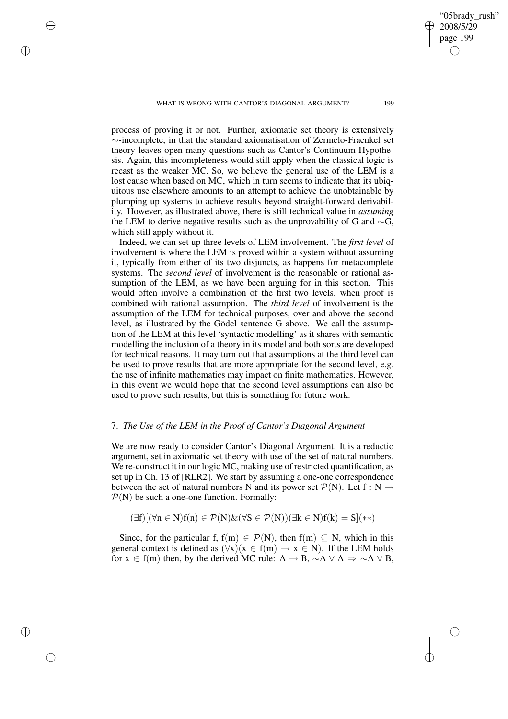WHAT IS WRONG WITH CANTOR'S DIAGONAL ARGUMENT? 199

✐

✐

✐

✐

process of proving it or not. Further, axiomatic set theory is extensively ∼-incomplete, in that the standard axiomatisation of Zermelo-Fraenkel set theory leaves open many questions such as Cantor's Continuum Hypothesis. Again, this incompleteness would still apply when the classical logic is recast as the weaker MC. So, we believe the general use of the LEM is a lost cause when based on MC, which in turn seems to indicate that its ubiquitous use elsewhere amounts to an attempt to achieve the unobtainable by plumping up systems to achieve results beyond straight-forward derivability. However, as illustrated above, there is still technical value in *assuming* the LEM to derive negative results such as the unprovability of G and ∼G, which still apply without it.

Indeed, we can set up three levels of LEM involvement. The *first level* of involvement is where the LEM is proved within a system without assuming it, typically from either of its two disjuncts, as happens for metacomplete systems. The *second level* of involvement is the reasonable or rational assumption of the LEM, as we have been arguing for in this section. This would often involve a combination of the first two levels, when proof is combined with rational assumption. The *third level* of involvement is the assumption of the LEM for technical purposes, over and above the second level, as illustrated by the Gödel sentence G above. We call the assumption of the LEM at this level 'syntactic modelling' as it shares with semantic modelling the inclusion of a theory in its model and both sorts are developed for technical reasons. It may turn out that assumptions at the third level can be used to prove results that are more appropriate for the second level, e.g. the use of infinite mathematics may impact on finite mathematics. However, in this event we would hope that the second level assumptions can also be used to prove such results, but this is something for future work.

## 7. *The Use of the LEM in the Proof of Cantor's Diagonal Argument*

We are now ready to consider Cantor's Diagonal Argument. It is a reductio argument, set in axiomatic set theory with use of the set of natural numbers. We re-construct it in our logic MC, making use of restricted quantification, as set up in Ch. 13 of [RLR2]. We start by assuming a one-one correspondence between the set of natural numbers N and its power set  $\mathcal{P}(N)$ . Let  $f : N \rightarrow$  $P(N)$  be such a one-one function. Formally:

$$
(\exists f)[(\forall n \in N)f(n) \in \mathcal{P}(N) \& (\forall S \in \mathcal{P}(N))(\exists k \in N)f(k) = S](**)
$$

Since, for the particular f,  $f(m) \in \mathcal{P}(N)$ , then  $f(m) \subseteq N$ , which in this general context is defined as  $(\forall x)(x \in f(m) \rightarrow x \in N)$ . If the LEM holds for  $x \in f(m)$  then, by the derived MC rule:  $A \rightarrow B$ ,  $\sim A \vee A \Rightarrow \sim A \vee B$ ,

"05brady\_rush" 2008/5/29 page 199

✐

✐

✐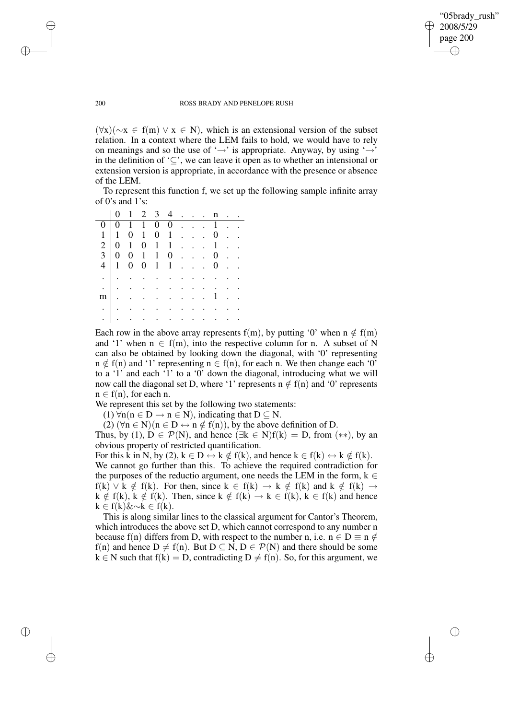✐

#### 200 ROSS BRADY AND PENELOPE RUSH

 $(\forall x)(\neg x \in f(m) \lor x \in N)$ , which is an extensional version of the subset relation. In a context where the LEM fails to hold, we would have to rely on meanings and so the use of ' $\rightarrow$ ' is appropriate. Anyway, by using ' $\rightarrow$ ' in the definition of '⊆', we can leave it open as to whether an intensional or extension version is appropriate, in accordance with the presence or absence of the LEM.

To represent this function f, we set up the following sample infinite array of 0's and 1's:

| $\Omega$    |                                          |  | $0$ 1 1 0 0 1                    |  |        |                     |  |
|-------------|------------------------------------------|--|----------------------------------|--|--------|---------------------|--|
|             |                                          |  | $1 \ 1 \ 0 \ 1 \ 0 \ 1 \ \ldots$ |  |        | $0 \quad . \quad .$ |  |
| $2 \quad 0$ |                                          |  | $1 \t0 \t1 \t1 \t \t1$ .         |  |        |                     |  |
|             |                                          |  | $3 \ 0 \ 0 \ 1 \ 1 \ 0 \ \ldots$ |  |        | $0 \cdot \cdot$     |  |
| 4 1         |                                          |  | $0 \t 0 \t 1 \t 1 \t $           |  |        | $0 \cdot \cdot$     |  |
|             | $\frac{1}{2}$ . The set of $\frac{1}{2}$ |  |                                  |  |        |                     |  |
|             | $\frac{1}{2}$ . The set of $\frac{1}{2}$ |  |                                  |  |        |                     |  |
| $m$   .     |                                          |  |                                  |  | . . 1. |                     |  |
|             | $\mathcal{L}$ . The set of $\mathcal{L}$ |  |                                  |  |        |                     |  |
|             |                                          |  |                                  |  |        |                     |  |

Each row in the above array represents f(m), by putting '0' when  $n \notin f(m)$ and '1' when  $n \in f(m)$ , into the respective column for n. A subset of N can also be obtained by looking down the diagonal, with '0' representing  $n \notin f(n)$  and '1' representing  $n \in f(n)$ , for each n. We then change each '0' to a '1' and each '1' to a '0' down the diagonal, introducing what we will now call the diagonal set D, where '1' represents  $n \notin f(n)$  and '0' represents  $n \in f(n)$ , for each n.

We represent this set by the following two statements:

(1)  $\forall n (n \in D \rightarrow n \in N)$ , indicating that  $D \subseteq N$ .

(2)  $(\forall n \in N)(n \in D \leftrightarrow n \notin f(n))$ , by the above definition of D.

Thus, by (1),  $D \in \mathcal{P}(N)$ , and hence ( $\exists k \in N$ ) $f(k) = D$ , from (\*\*), by an obvious property of restricted quantification.

For this k in N, by (2),  $k \in D \leftrightarrow k \notin f(k)$ , and hence  $k \in f(k) \leftrightarrow k \notin f(k)$ . We cannot go further than this. To achieve the required contradiction for the purposes of the reductio argument, one needs the LEM in the form,  $k \in$  $f(k) \vee k \notin f(k)$ . For then, since  $k \in f(k) \to k \notin f(k)$  and  $k \notin f(k) \to f(k)$  $k \notin f(k)$ ,  $k \notin f(k)$ . Then, since  $k \notin f(k) \to k \in f(k)$ ,  $k \in f(k)$  and hence  $k \in f(k)$  &  $\sim k \in f(k)$ .

This is along similar lines to the classical argument for Cantor's Theorem, which introduces the above set D, which cannot correspond to any number n because f(n) differs from D, with respect to the number n, i.e.  $n \in D \equiv n \notin$ f(n) and hence  $D \neq f(n)$ . But  $D \subseteq N$ ,  $D \in \mathcal{P}(N)$  and there should be some  $k \in N$  such that  $f(k) = D$ , contradicting  $D \neq f(n)$ . So, for this argument, we

✐

✐

✐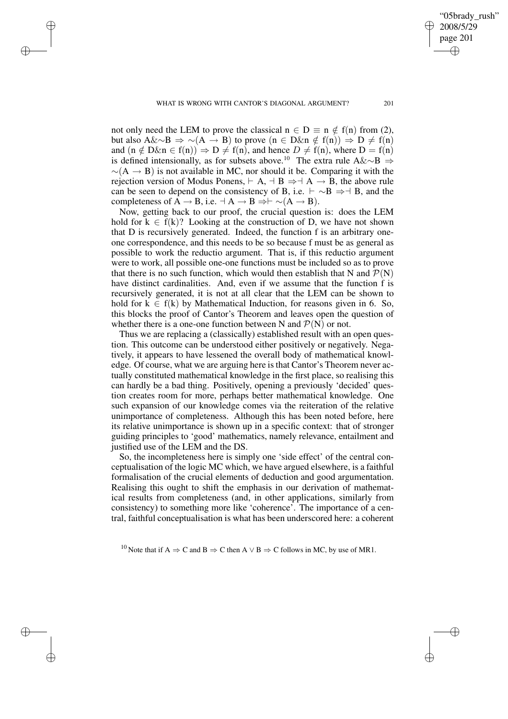✐

"05brady\_rush"

✐

✐

✐

✐

not only need the LEM to prove the classical  $n \in D \equiv n \notin f(n)$  from (2), but also A&∼B  $\Rightarrow$  ~(A → B) to prove (n ∈ D&n  $\notin$  f(n))  $\Rightarrow$  D  $\neq$  f(n) and  $(n \notin D\&n \in f(n)) \Rightarrow D \neq f(n)$ , and hence  $D \neq f(n)$ , where  $D = f(n)$ is defined intensionally, as for subsets above.<sup>10</sup> The extra rule A&∼B  $\Rightarrow$  $\sim(A \rightarrow B)$  is not available in MC, nor should it be. Comparing it with the rejection version of Modus Ponens,  $\vdash A$ ,  $\neg B \Rightarrow \neg A \rightarrow B$ , the above rule can be seen to depend on the consistency of B, i.e.  $\vdash \sim B \Rightarrow \vdash B$ , and the completeness of A → B, i.e.  $\exists A \rightarrow B \Rightarrow \vdash \sim(A \rightarrow B)$ .

Now, getting back to our proof, the crucial question is: does the LEM hold for  $k \in f(k)$ ? Looking at the construction of D, we have not shown that D is recursively generated. Indeed, the function f is an arbitrary oneone correspondence, and this needs to be so because f must be as general as possible to work the reductio argument. That is, if this reductio argument were to work, all possible one-one functions must be included so as to prove that there is no such function, which would then establish that N and  $\mathcal{P}(N)$ have distinct cardinalities. And, even if we assume that the function f is recursively generated, it is not at all clear that the LEM can be shown to hold for  $k \in f(k)$  by Mathematical Induction, for reasons given in 6. So, this blocks the proof of Cantor's Theorem and leaves open the question of whether there is a one-one function between N and  $P(N)$  or not.

Thus we are replacing a (classically) established result with an open question. This outcome can be understood either positively or negatively. Negatively, it appears to have lessened the overall body of mathematical knowledge. Of course, what we are arguing here is that Cantor's Theorem never actually constituted mathematical knowledge in the first place, so realising this can hardly be a bad thing. Positively, opening a previously 'decided' question creates room for more, perhaps better mathematical knowledge. One such expansion of our knowledge comes via the reiteration of the relative unimportance of completeness. Although this has been noted before, here its relative unimportance is shown up in a specific context: that of stronger guiding principles to 'good' mathematics, namely relevance, entailment and justified use of the LEM and the DS.

So, the incompleteness here is simply one 'side effect' of the central conceptualisation of the logic MC which, we have argued elsewhere, is a faithful formalisation of the crucial elements of deduction and good argumentation. Realising this ought to shift the emphasis in our derivation of mathematical results from completeness (and, in other applications, similarly from consistency) to something more like 'coherence'. The importance of a central, faithful conceptualisation is what has been underscored here: a coherent

<sup>10</sup> Note that if A  $\Rightarrow$  C and B  $\Rightarrow$  C then A  $\vee$  B  $\Rightarrow$  C follows in MC, by use of MR1.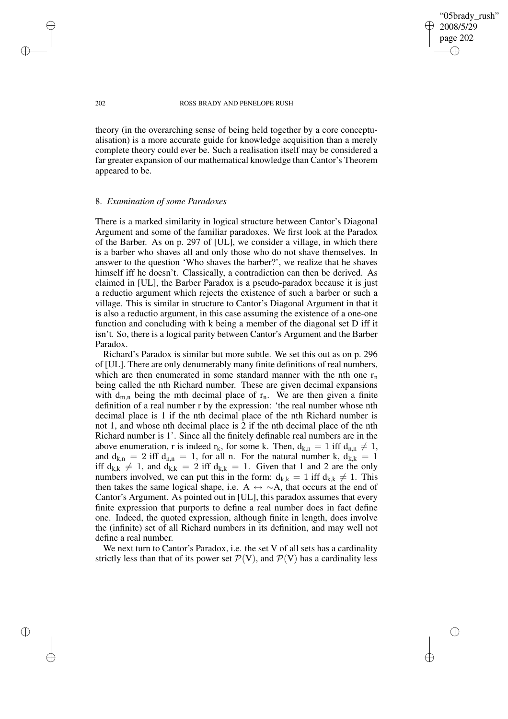"05brady\_rush" 2008/5/29 page 202 ✐ ✐

✐

✐

#### 202 ROSS BRADY AND PENELOPE RUSH

theory (in the overarching sense of being held together by a core conceptualisation) is a more accurate guide for knowledge acquisition than a merely complete theory could ever be. Such a realisation itself may be considered a far greater expansion of our mathematical knowledge than Cantor's Theorem appeared to be.

#### 8. *Examination of some Paradoxes*

There is a marked similarity in logical structure between Cantor's Diagonal Argument and some of the familiar paradoxes. We first look at the Paradox of the Barber. As on p. 297 of [UL], we consider a village, in which there is a barber who shaves all and only those who do not shave themselves. In answer to the question 'Who shaves the barber?', we realize that he shaves himself iff he doesn't. Classically, a contradiction can then be derived. As claimed in [UL], the Barber Paradox is a pseudo-paradox because it is just a reductio argument which rejects the existence of such a barber or such a village. This is similar in structure to Cantor's Diagonal Argument in that it is also a reductio argument, in this case assuming the existence of a one-one function and concluding with k being a member of the diagonal set D iff it isn't. So, there is a logical parity between Cantor's Argument and the Barber Paradox.

Richard's Paradox is similar but more subtle. We set this out as on p. 296 of [UL]. There are only denumerably many finite definitions of real numbers, which are then enumerated in some standard manner with the nth one  $r_n$ being called the nth Richard number. These are given decimal expansions with  $d_{m,n}$  being the mth decimal place of  $r_n$ . We are then given a finite definition of a real number r by the expression: 'the real number whose nth decimal place is 1 if the nth decimal place of the nth Richard number is not 1, and whose nth decimal place is 2 if the nth decimal place of the nth Richard number is 1'. Since all the finitely definable real numbers are in the above enumeration, r is indeed  $r_k$ , for some k. Then,  $d_{k,n} = 1$  iff  $d_{n,n} \neq 1$ , and  $d_{k,n} = 2$  iff  $d_{n,n} = 1$ , for all n. For the natural number k,  $d_{k,k} = 1$ iff  $d_{k,k} \neq 1$ , and  $d_{k,k} = 2$  iff  $d_{k,k} = 1$ . Given that 1 and 2 are the only numbers involved, we can put this in the form:  $d_{k,k} = 1$  iff  $d_{k,k} \neq 1$ . This then takes the same logical shape, i.e. A  $\leftrightarrow \sim A$ , that occurs at the end of Cantor's Argument. As pointed out in [UL], this paradox assumes that every finite expression that purports to define a real number does in fact define one. Indeed, the quoted expression, although finite in length, does involve the (infinite) set of all Richard numbers in its definition, and may well not define a real number.

We next turn to Cantor's Paradox, i.e. the set V of all sets has a cardinality strictly less than that of its power set  $\mathcal{P}(V)$ , and  $\mathcal{P}(V)$  has a cardinality less

✐

✐

✐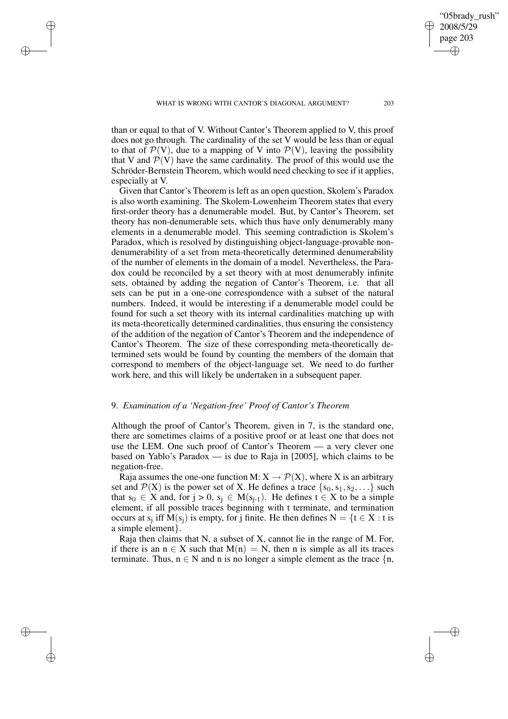✐

✐

✐

✐

✐

"05brady\_rush"

than or equal to that of V. Without Cantor's Theorem applied to V, this proof does not go through. The cardinality of the set V would be less than or equal to that of  $\mathcal{P}(V)$ , due to a mapping of V into  $\mathcal{P}(V)$ , leaving the possibility that V and  $\mathcal{P}(V)$  have the same cardinality. The proof of this would use the Schröder-Bernstein Theorem, which would need checking to see if it applies, especially at V.

Given that Cantor's Theorem is left as an open question, Skolem's Paradox is also worth examining. The Skolem-Lowenheim Theorem states that every first-order theory has a denumerable model. But, by Cantor's Theorem, set theory has non-denumerable sets, which thus have only denumerably many elements in a denumerable model. This seeming contradiction is Skolem's Paradox, which is resolved by distinguishing object-language-provable nondenumerability of a set from meta-theoretically determined denumerability of the number of elements in the domain of a model. Nevertheless, the Paradox could be reconciled by a set theory with at most denumerably infinite sets, obtained by adding the negation of Cantor's Theorem, i.e. that all sets can be put in a one-one correspondence with a subset of the natural numbers. Indeed, it would be interesting if a denumerable model could be found for such a set theory with its internal cardinalities matching up with its meta-theoretically determined cardinalities, thus ensuring the consistency of the addition of the negation of Cantor's Theorem and the independence of Cantor's Theorem. The size of these corresponding meta-theoretically determined sets would be found by counting the members of the domain that correspond to members of the object-language set. We need to do further work here, and this will likely be undertaken in a subsequent paper.

## 9. *Examination of a 'Negation-free' Proof of Cantor's Theorem*

Although the proof of Cantor's Theorem, given in 7, is the standard one, there are sometimes claims of a positive proof or at least one that does not use the LEM. One such proof of Cantor's Theorem — a very clever one based on Yablo's Paradox — is due to Raja in [2005], which claims to be negation-free.

Raja assumes the one-one function M:  $X \to \mathcal{P}(X)$ , where X is an arbitrary set and  $\mathcal{P}(X)$  is the power set of X. He defines a trace  $\{s_0, s_1, s_2, \ldots\}$  such that  $s_0 \in X$  and, for  $j > 0$ ,  $s_j \in M(s_{j-1})$ . He defines  $t \in X$  to be a simple element, if all possible traces beginning with t terminate, and termination occurs at  $s_j$  iff  $M(s_j)$  is empty, for j finite. He then defines  $N = \{t \in X : t \text{ is }$ a simple element}.

Raja then claims that N, a subset of X, cannot lie in the range of M. For, if there is an  $n \in X$  such that  $M(n) = N$ , then n is simple as all its traces terminate. Thus,  $n \in N$  and n is no longer a simple element as the trace  $\{n, \}$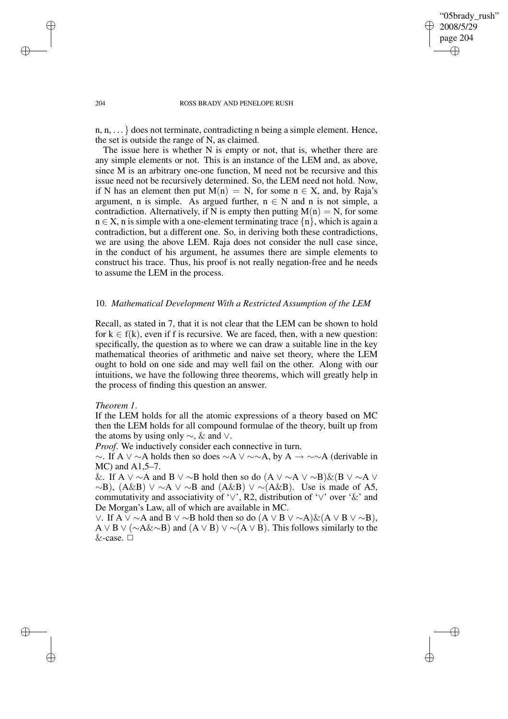✐

#### 204 ROSS BRADY AND PENELOPE RUSH

n, n, . . . } does not terminate, contradicting n being a simple element. Hence, the set is outside the range of N, as claimed.

The issue here is whether N is empty or not, that is, whether there are any simple elements or not. This is an instance of the LEM and, as above, since M is an arbitrary one-one function, M need not be recursive and this issue need not be recursively determined. So, the LEM need not hold. Now, if N has an element then put  $M(n) = N$ , for some  $n \in X$ , and, by Raja's argument, n is simple. As argued further,  $n \in N$  and n is not simple, a contradiction. Alternatively, if N is empty then putting  $M(n) = N$ , for some  $n \in X$ , n is simple with a one-element terminating trace  $\{n\}$ , which is again a contradiction, but a different one. So, in deriving both these contradictions, we are using the above LEM. Raja does not consider the null case since, in the conduct of his argument, he assumes there are simple elements to construct his trace. Thus, his proof is not really negation-free and he needs to assume the LEM in the process.

#### 10. *Mathematical Development With a Restricted Assumption of the LEM*

Recall, as stated in 7, that it is not clear that the LEM can be shown to hold for  $k \in f(k)$ , even if f is recursive. We are faced, then, with a new question: specifically, the question as to where we can draw a suitable line in the key mathematical theories of arithmetic and naive set theory, where the LEM ought to hold on one side and may well fail on the other. Along with our intuitions, we have the following three theorems, which will greatly help in the process of finding this question an answer.

### *Theorem 1*.

If the LEM holds for all the atomic expressions of a theory based on MC then the LEM holds for all compound formulae of the theory, built up from the atoms by using only ∼, & and ∨.

*Proof*. We inductively consider each connective in turn.

 $\sim$ . If A ∨  $\sim$ A holds then so does  $\sim$ A ∨  $\sim$   $\sim$ A, by A  $\to \sim \sim$ A (derivable in MC) and A1,5–7.

&. If A ∨ ∼A and B ∨ ∼B hold then so do  $(A \vee \neg A \vee \neg B)$ & $(B \vee \neg A \vee$  $~\sim$ B), (A&B) ∨  $~\sim$ A ∨  $~\sim$ B and (A&B) ∨  $~\sim$ (A&B). Use is made of A5, commutativity and associativity of '∨', R2, distribution of '∨' over '&' and De Morgan's Law, all of which are available in MC.

∨. If A  $\vee \sim A$  and B  $\vee \sim B$  hold then so do  $(A \vee B \vee \sim A) \& (A \vee B \vee \sim B)$ , A ∨ B ∨ ( $\sim$ A& $\sim$ B) and (A ∨ B) ∨  $\sim$  (A ∨ B). This follows similarly to the &-case.  $\Box$ 

✐

✐

✐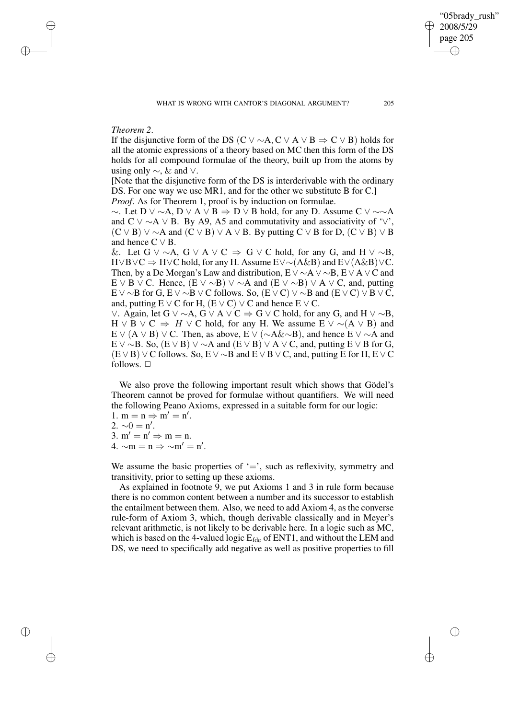#### *Theorem 2*.

✐

✐

✐

✐

If the disjunctive form of the DS (C ∨  $\sim$  A, C ∨ A ∨ B  $\Rightarrow$  C ∨ B) holds for all the atomic expressions of a theory based on MC then this form of the DS holds for all compound formulae of the theory, built up from the atoms by using only  $\sim$ , & and ∨.

[Note that the disjunctive form of the DS is interderivable with the ordinary DS. For one way we use MR1, and for the other we substitute B for C.] *Proof*. As for Theorem 1, proof is by induction on formulae.

 $\sim$ . Let D  $\vee$  ~A, D  $\vee$  A  $\vee$  B  $\Rightarrow$  D  $\vee$  B hold, for any D. Assume C  $\vee$  ~~A and C ∨  $\sim$  A ∨ B. By A9, A5 and commutativity and associativity of '∨',  $(C \vee B) \vee \sim A$  and  $(C \vee B) \vee A \vee B$ . By putting  $C \vee B$  for D,  $(C \vee B) \vee B$ and hence  $C \vee B$ .

&. Let G  $\vee \sim A$ , G  $\vee A \vee C \Rightarrow G \vee C$  hold, for any G, and H  $\vee \sim B$ , H∨B∨C ⇒ H∨C hold, for any H. Assume E∨∼(A&B) and E∨(A&B)∨C. Then, by a De Morgan's Law and distribution,  $E \vee \sim A \vee \sim B$ ,  $E \vee A \vee C$  and E ∨ B ∨ C. Hence,  $(E \vee \neg B) \vee \neg A$  and  $(E \vee \neg B) \vee A \vee C$ , and, putting E ∨  $\sim$ B for G, E ∨  $\sim$ B ∨ C follows. So, (E ∨ C) ∨  $\sim$ B and (E ∨ C) ∨ B ∨ C, and, putting  $E \vee C$  for H,  $(E \vee C) \vee C$  and hence  $E \vee C$ .

 $\vee$ . Again, let G  $\vee$  ~A, G  $\vee$  A  $\vee$  C  $\Rightarrow$  G  $\vee$  C hold, for any G, and H  $\vee$  ~B,  $H \vee B \vee C \Rightarrow H \vee C$  hold, for any H. We assume  $E \vee \sim (A \vee B)$  and E ∨ (A ∨ B) ∨ C. Then, as above, E ∨ ( $\sim$ A& $\sim$ B), and hence E ∨  $\sim$ A and E ∨ ∼B. So,  $(E \vee B) \vee \sim A$  and  $(E \vee B) \vee A \vee C$ , and, putting E  $\vee$  B for G,  $(E \vee B) \vee C$  follows. So,  $E \vee \sim B$  and  $E \vee B \vee C$ , and, putting E for H,  $E \vee C$ follows.  $\square$ 

We also prove the following important result which shows that Gödel's Theorem cannot be proved for formulae without quantifiers. We will need the following Peano Axioms, expressed in a suitable form for our logic:

1.  $m = n \Rightarrow m' = n'.$ 

2.  $\sim 0 = n'$ .

3.  $m' = n' \Rightarrow m = n$ . 4.  $\sim$ m = n  $\Rightarrow$   $\sim$ m' = n'.

We assume the basic properties of  $\div$ , such as reflexivity, symmetry and transitivity, prior to setting up these axioms.

As explained in footnote 9, we put Axioms 1 and 3 in rule form because there is no common content between a number and its successor to establish the entailment between them. Also, we need to add Axiom 4, as the converse rule-form of Axiom 3, which, though derivable classically and in Meyer's relevant arithmetic, is not likely to be derivable here. In a logic such as MC, which is based on the 4-valued logic  $E_{\text{fde}}$  of ENT1, and without the LEM and DS, we need to specifically add negative as well as positive properties to fill

"05brady\_rush" 2008/5/29 page 205

✐

✐

✐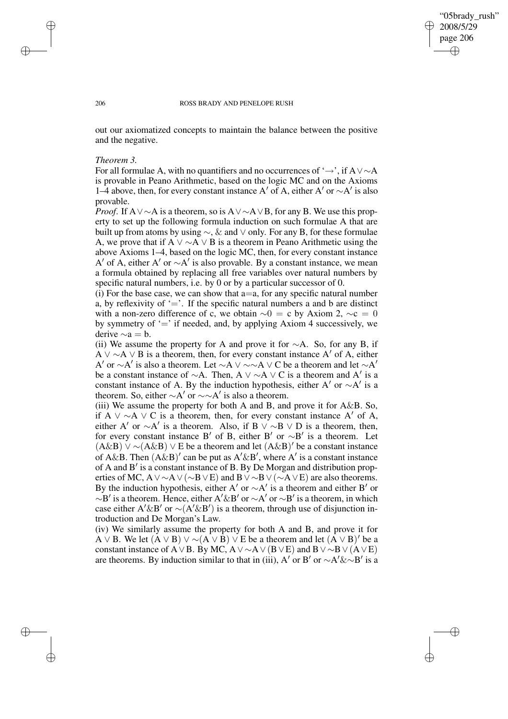✐

#### 206 ROSS BRADY AND PENELOPE RUSH

out our axiomatized concepts to maintain the balance between the positive and the negative.

#### *Theorem 3.*

For all formulae A, with no quantifiers and no occurrences of ' $\rightarrow$ ', if A∨ $\sim$ A is provable in Peano Arithmetic, based on the logic MC and on the Axioms 1–4 above, then, for every constant instance A' of A, either A' or  $\sim$ A' is also provable.

*Proof.* If A∨∼A is a theorem, so is A∨∼A∨B, for any B. We use this property to set up the following formula induction on such formulae A that are built up from atoms by using  $\sim$ ,  $\&$  and  $\vee$  only. For any B, for these formulae A, we prove that if A  $\vee \sim A \vee B$  is a theorem in Peano Arithmetic using the above Axioms 1–4, based on the logic MC, then, for every constant instance A' of A, either A' or  $~\sim A'$  is also provable. By a constant instance, we mean a formula obtained by replacing all free variables over natural numbers by specific natural numbers, i.e. by 0 or by a particular successor of 0.

(i) For the base case, we can show that  $a=a$ , for any specific natural number a, by reflexivity of  $\equiv$ . If the specific natural numbers a and b are distinct with a non-zero difference of c, we obtain  $\sim 0 = c$  by Axiom 2,  $\sim c = 0$ by symmetry of  $\prime =$ ' if needed, and, by applying Axiom 4 successively, we derive  $∼a = b$ .

(ii) We assume the property for A and prove it for  $\sim$ A. So, for any B, if A  $\vee \sim A \vee B$  is a theorem, then, for every constant instance A' of A, either A' or ∼A' is also a theorem. Let ∼A  $\vee$  ∼∼A  $\vee$  C be a theorem and let ∼A' be a constant instance of  $\sim$ A. Then, A  $\vee \sim$ A  $\vee$  C is a theorem and A' is a constant instance of A. By the induction hypothesis, either A' or  $\sim$ A' is a theorem. So, either  $\sim$ A' or  $\sim \sim$ A' is also a theorem.

(iii) We assume the property for both A and B, and prove it for  $A\&B$ . So, if A  $\vee \sim A \vee C$  is a theorem, then, for every constant instance A' of A, either A' or  $\sim$ A' is a theorem. Also, if B  $\vee \sim$ B  $\vee$  D is a theorem, then, for every constant instance B' of B, either B' or  $~\sim$ B' is a theorem. Let  $(A\&B)$   $\vee$  ~ $(A\&B)$   $\vee$  E be a theorem and let  $(A\&B)'$  be a constant instance of  $A\&B$ . Then  $(A\&B)'$  can be put as  $A'\&B'$ , where  $A'$  is a constant instance of A and B' is a constant instance of B. By De Morgan and distribution properties of MC, A∨∼A∨(∼B∨E) and B∨∼B∨(∼A∨E) are also theorems. By the induction hypothesis, either A' or  $\sim$ A' is a theorem and either B' or  $~\sim B'$  is a theorem. Hence, either A'&B' or  $~\sim A'$  or  $~\sim B'$  is a theorem, in which case either A'&B' or  $\sim$ (A'&B') is a theorem, through use of disjunction introduction and De Morgan's Law.

(iv) We similarly assume the property for both A and B, and prove it for A  $\vee$  B. We let  $(A \vee B) \vee \sim (A \vee B) \vee E$  be a theorem and let  $(A \vee B)'$  be a constant instance of A∨B. By MC, A∨ $\sim$ A∨(B∨E) and B∨ $\sim$ B∨(A∨E) are theorems. By induction similar to that in (iii), A' or B' or  $\sim$ A'& $\sim$ B' is a

✐

✐

✐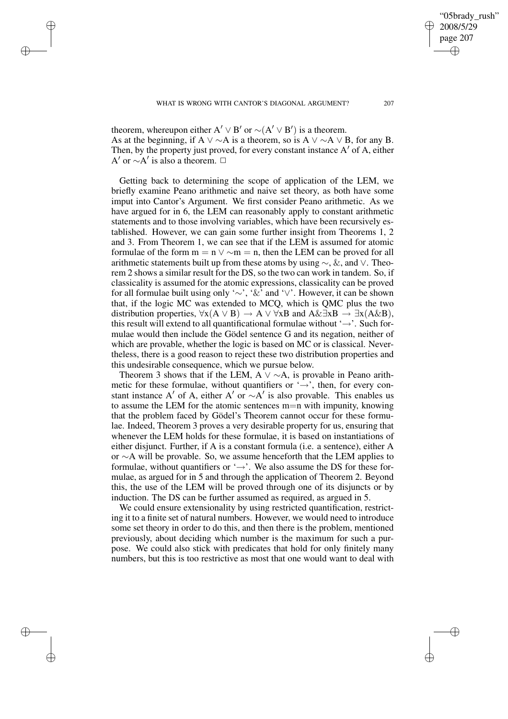✐

✐

✐

theorem, whereupon either  $A' \vee B'$  or  $\sim(A' \vee B')$  is a theorem. As at the beginning, if A  $\vee \sim A$  is a theorem, so is A  $\vee \sim A \vee B$ , for any B. Then, by the property just proved, for every constant instance  $A'$  of  $A$ , either A' or  $\sim$ A' is also a theorem.  $\Box$ 

Getting back to determining the scope of application of the LEM, we briefly examine Peano arithmetic and naive set theory, as both have some imput into Cantor's Argument. We first consider Peano arithmetic. As we have argued for in 6, the LEM can reasonably apply to constant arithmetic statements and to those involving variables, which have been recursively established. However, we can gain some further insight from Theorems 1, 2 and 3. From Theorem 1, we can see that if the LEM is assumed for atomic formulae of the form  $m = n \vee \sim m = n$ , then the LEM can be proved for all arithmetic statements built up from these atoms by using  $\sim$ , &, and  $\vee$ . Theorem 2 shows a similar result for the DS, so the two can work in tandem. So, if classicality is assumed for the atomic expressions, classicality can be proved for all formulae built using only '∼', '&' and '∨'. However, it can be shown that, if the logic MC was extended to MCQ, which is QMC plus the two distribution properties,  $\forall x(A \lor B) \rightarrow A \lor \forall xB$  and  $A \& \exists xB \rightarrow \exists x(A \& B)$ , this result will extend to all quantificational formulae without ' $\rightarrow$ '. Such formulae would then include the Gödel sentence G and its negation, neither of which are provable, whether the logic is based on MC or is classical. Nevertheless, there is a good reason to reject these two distribution properties and this undesirable consequence, which we pursue below.

Theorem 3 shows that if the LEM, A  $\vee \sim A$ , is provable in Peano arithmetic for these formulae, without quantifiers or  $\rightarrow$ , then, for every constant instance A' of A, either A' or  $\sim$ A' is also provable. This enables us to assume the LEM for the atomic sentences m=n with impunity, knowing that the problem faced by Gödel's Theorem cannot occur for these formulae. Indeed, Theorem 3 proves a very desirable property for us, ensuring that whenever the LEM holds for these formulae, it is based on instantiations of either disjunct. Further, if A is a constant formula (i.e. a sentence), either A or ∼A will be provable. So, we assume henceforth that the LEM applies to formulae, without quantifiers or  $\rightarrow$ . We also assume the DS for these formulae, as argued for in 5 and through the application of Theorem 2. Beyond this, the use of the LEM will be proved through one of its disjuncts or by induction. The DS can be further assumed as required, as argued in 5.

We could ensure extensionality by using restricted quantification, restricting it to a finite set of natural numbers. However, we would need to introduce some set theory in order to do this, and then there is the problem, mentioned previously, about deciding which number is the maximum for such a purpose. We could also stick with predicates that hold for only finitely many numbers, but this is too restrictive as most that one would want to deal with

✐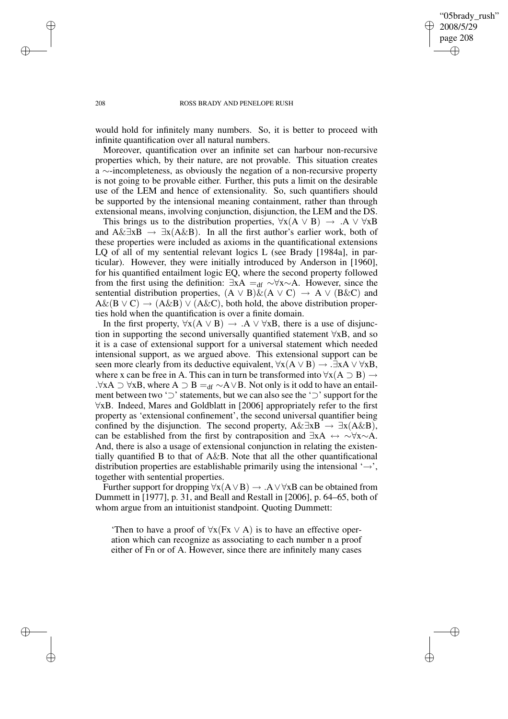✐

#### 208 ROSS BRADY AND PENELOPE RUSH

would hold for infinitely many numbers. So, it is better to proceed with infinite quantification over all natural numbers.

Moreover, quantification over an infinite set can harbour non-recursive properties which, by their nature, are not provable. This situation creates a ∼-incompleteness, as obviously the negation of a non-recursive property is not going to be provable either. Further, this puts a limit on the desirable use of the LEM and hence of extensionality. So, such quantifiers should be supported by the intensional meaning containment, rather than through extensional means, involving conjunction, disjunction, the LEM and the DS.

This brings us to the distribution properties,  $\forall x(A \lor B) \rightarrow A \lor \forall xB$ and A& $\exists x B \rightarrow \exists x (A \& B)$ . In all the first author's earlier work, both of these properties were included as axioms in the quantificational extensions LQ of all of my sentential relevant logics L (see Brady [1984a], in particular). However, they were initially introduced by Anderson in [1960], for his quantified entailment logic EQ, where the second property followed from the first using the definition:  $\exists xA =_{df} \sim \forall x \sim A$ . However, since the sentential distribution properties,  $(A \lor B) \& (A \lor C) \rightarrow A \lor (B \& C)$  and  $A\&(B \vee C) \rightarrow (A\&B) \vee (A\&C)$ , both hold, the above distribution properties hold when the quantification is over a finite domain.

In the first property,  $\forall x(A \lor B) \rightarrow A \lor \forall xB$ , there is a use of disjunction in supporting the second universally quantified statement ∀xB, and so it is a case of extensional support for a universal statement which needed intensional support, as we argued above. This extensional support can be seen more clearly from its deductive equivalent,  $\forall x(A \lor B) \rightarrow .\exists xA \lor \forall xB$ , where x can be free in A. This can in turn be transformed into  $\forall x(A \supset B) \rightarrow$ .∀xA  $\supset$   $\forall$ xB, where A  $\supset$  B  $=$ <sub>df</sub>  $\sim$ A $\vee$ B. Not only is it odd to have an entailment between two '⊃' statements, but we can also see the '⊃' support for the ∀xB. Indeed, Mares and Goldblatt in [2006] appropriately refer to the first property as 'extensional confinement', the second universal quantifier being confined by the disjunction. The second property,  $A\&\exists xB \rightarrow \exists x(A\&B)$ , can be established from the first by contraposition and  $\exists x A \leftrightarrow \neg \forall x \sim A$ . And, there is also a usage of extensional conjunction in relating the existentially quantified B to that of A&B. Note that all the other quantificational distribution properties are establishable primarily using the intensional  $\rightarrow$ ', together with sentential properties.

Further support for dropping  $\forall x(A \lor B) \rightarrow A \lor \forall xB$  can be obtained from Dummett in [1977], p. 31, and Beall and Restall in [2006], p. 64–65, both of whom argue from an intuitionist standpoint. Quoting Dummett:

'Then to have a proof of  $\forall x (Fx \lor A)$  is to have an effective operation which can recognize as associating to each number n a proof either of Fn or of A. However, since there are infinitely many cases

✐

✐

✐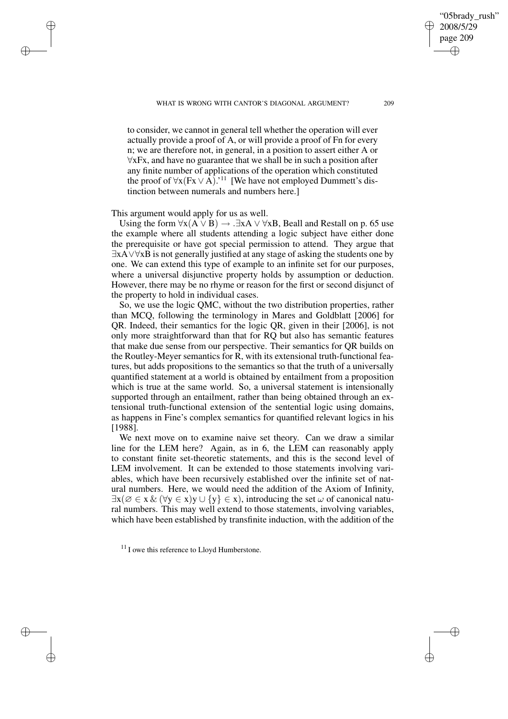✐

to consider, we cannot in general tell whether the operation will ever actually provide a proof of A, or will provide a proof of Fn for every n; we are therefore not, in general, in a position to assert either A or ∀xFx, and have no guarantee that we shall be in such a position after any finite number of applications of the operation which constituted the proof of  $\forall x (Fx \lor A)$ .'<sup>11</sup> [We have not employed Dummett's distinction between numerals and numbers here.]

## This argument would apply for us as well.

✐

✐

✐

✐

Using the form  $\forall x(A \lor B) \rightarrow .\exists xA \lor \forall xB$ , Beall and Restall on p. 65 use the example where all students attending a logic subject have either done the prerequisite or have got special permission to attend. They argue that ∃xA∨∀xB is not generally justified at any stage of asking the students one by one. We can extend this type of example to an infinite set for our purposes, where a universal disjunctive property holds by assumption or deduction. However, there may be no rhyme or reason for the first or second disjunct of the property to hold in individual cases.

So, we use the logic QMC, without the two distribution properties, rather than MCQ, following the terminology in Mares and Goldblatt [2006] for QR. Indeed, their semantics for the logic QR, given in their [2006], is not only more straightforward than that for RQ but also has semantic features that make due sense from our perspective. Their semantics for QR builds on the Routley-Meyer semantics for R, with its extensional truth-functional features, but adds propositions to the semantics so that the truth of a universally quantified statement at a world is obtained by entailment from a proposition which is true at the same world. So, a universal statement is intensionally supported through an entailment, rather than being obtained through an extensional truth-functional extension of the sentential logic using domains, as happens in Fine's complex semantics for quantified relevant logics in his [1988].

We next move on to examine naive set theory. Can we draw a similar line for the LEM here? Again, as in 6, the LEM can reasonably apply to constant finite set-theoretic statements, and this is the second level of LEM involvement. It can be extended to those statements involving variables, which have been recursively established over the infinite set of natural numbers. Here, we would need the addition of the Axiom of Infinity,  $\exists x (\emptyset \in x \& (\forall y \in x) y \cup \{y\} \in x)$ , introducing the set  $\omega$  of canonical natural numbers. This may well extend to those statements, involving variables, which have been established by transfinite induction, with the addition of the

 $11$  I owe this reference to Lloyd Humberstone.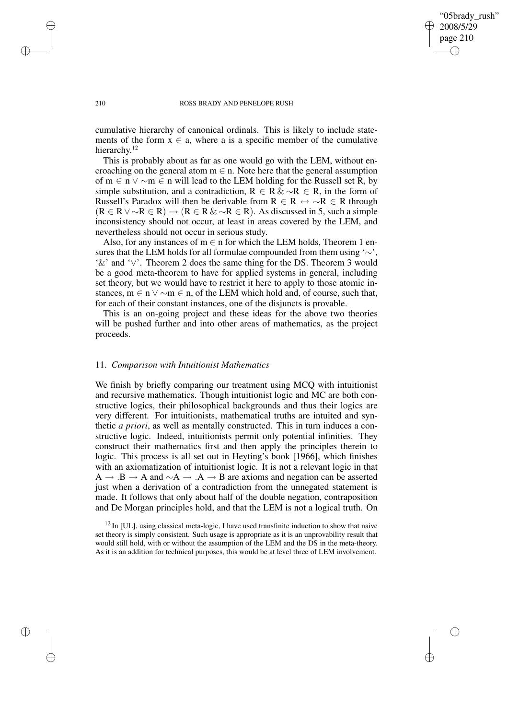"05brady\_rush" 2008/5/29 page 210 ✐ ✐

✐

✐

#### 210 ROSS BRADY AND PENELOPE RUSH

cumulative hierarchy of canonical ordinals. This is likely to include statements of the form  $x \in a$ , where a is a specific member of the cumulative hierarchy.<sup>12</sup>

This is probably about as far as one would go with the LEM, without encroaching on the general atom  $m \in n$ . Note here that the general assumption of m ∈ n ∨ ∼m ∈ n will lead to the LEM holding for the Russell set R, by simple substitution, and a contradiction,  $R \in R \& \sim R \in R$ , in the form of Russell's Paradox will then be derivable from  $R \in R \leftrightarrow \sim R \in R$  through  $(R \in R \vee \sim R \in R) \rightarrow (R \in R \& \sim R \in R)$ . As discussed in 5, such a simple inconsistency should not occur, at least in areas covered by the LEM, and nevertheless should not occur in serious study.

Also, for any instances of  $m \in n$  for which the LEM holds, Theorem 1 ensures that the LEM holds for all formulae compounded from them using '∼', '&' and '∨'. Theorem 2 does the same thing for the DS. Theorem 3 would be a good meta-theorem to have for applied systems in general, including set theory, but we would have to restrict it here to apply to those atomic instances,  $m \in n \vee \sim m \in n$ , of the LEM which hold and, of course, such that, for each of their constant instances, one of the disjuncts is provable.

This is an on-going project and these ideas for the above two theories will be pushed further and into other areas of mathematics, as the project proceeds.

#### 11. *Comparison with Intuitionist Mathematics*

We finish by briefly comparing our treatment using MCQ with intuitionist and recursive mathematics. Though intuitionist logic and MC are both constructive logics, their philosophical backgrounds and thus their logics are very different. For intuitionists, mathematical truths are intuited and synthetic *a priori*, as well as mentally constructed. This in turn induces a constructive logic. Indeed, intuitionists permit only potential infinities. They construct their mathematics first and then apply the principles therein to logic. This process is all set out in Heyting's book [1966], which finishes with an axiomatization of intuitionist logic. It is not a relevant logic in that  $A \rightarrow .B \rightarrow A$  and  $\sim A \rightarrow .A \rightarrow B$  are axioms and negation can be asserted just when a derivation of a contradiction from the unnegated statement is made. It follows that only about half of the double negation, contraposition and De Morgan principles hold, and that the LEM is not a logical truth. On

 $12$  In [UL], using classical meta-logic, I have used transfinite induction to show that naive set theory is simply consistent. Such usage is appropriate as it is an unprovability result that would still hold, with or without the assumption of the LEM and the DS in the meta-theory. As it is an addition for technical purposes, this would be at level three of LEM involvement.

✐

✐

✐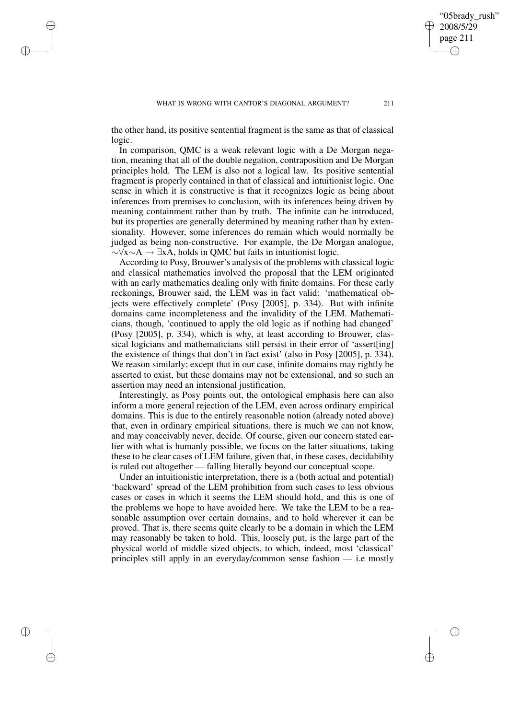"05brady\_rush" 2008/5/29 page 211

✐

✐

✐

✐

the other hand, its positive sentential fragment is the same as that of classical logic.

✐

✐

✐

✐

In comparison, QMC is a weak relevant logic with a De Morgan negation, meaning that all of the double negation, contraposition and De Morgan principles hold. The LEM is also not a logical law. Its positive sentential fragment is properly contained in that of classical and intuitionist logic. One sense in which it is constructive is that it recognizes logic as being about inferences from premises to conclusion, with its inferences being driven by meaning containment rather than by truth. The infinite can be introduced, but its properties are generally determined by meaning rather than by extensionality. However, some inferences do remain which would normally be judged as being non-constructive. For example, the De Morgan analogue,  $\sim \forall x \sim A \rightarrow \exists x A$ , holds in QMC but fails in intuitionist logic.

According to Posy, Brouwer's analysis of the problems with classical logic and classical mathematics involved the proposal that the LEM originated with an early mathematics dealing only with finite domains. For these early reckonings, Brouwer said, the LEM was in fact valid: 'mathematical objects were effectively complete' (Posy [2005], p. 334). But with infinite domains came incompleteness and the invalidity of the LEM. Mathematicians, though, 'continued to apply the old logic as if nothing had changed' (Posy [2005], p. 334), which is why, at least according to Brouwer, classical logicians and mathematicians still persist in their error of 'assert[ing] the existence of things that don't in fact exist' (also in Posy [2005], p. 334). We reason similarly; except that in our case, infinite domains may rightly be asserted to exist, but these domains may not be extensional, and so such an assertion may need an intensional justification.

Interestingly, as Posy points out, the ontological emphasis here can also inform a more general rejection of the LEM, even across ordinary empirical domains. This is due to the entirely reasonable notion (already noted above) that, even in ordinary empirical situations, there is much we can not know, and may conceivably never, decide. Of course, given our concern stated earlier with what is humanly possible, we focus on the latter situations, taking these to be clear cases of LEM failure, given that, in these cases, decidability is ruled out altogether — falling literally beyond our conceptual scope.

Under an intuitionistic interpretation, there is a (both actual and potential) 'backward' spread of the LEM prohibition from such cases to less obvious cases or cases in which it seems the LEM should hold, and this is one of the problems we hope to have avoided here. We take the LEM to be a reasonable assumption over certain domains, and to hold wherever it can be proved. That is, there seems quite clearly to be a domain in which the LEM may reasonably be taken to hold. This, loosely put, is the large part of the physical world of middle sized objects, to which, indeed, most 'classical' principles still apply in an everyday/common sense fashion — i.e mostly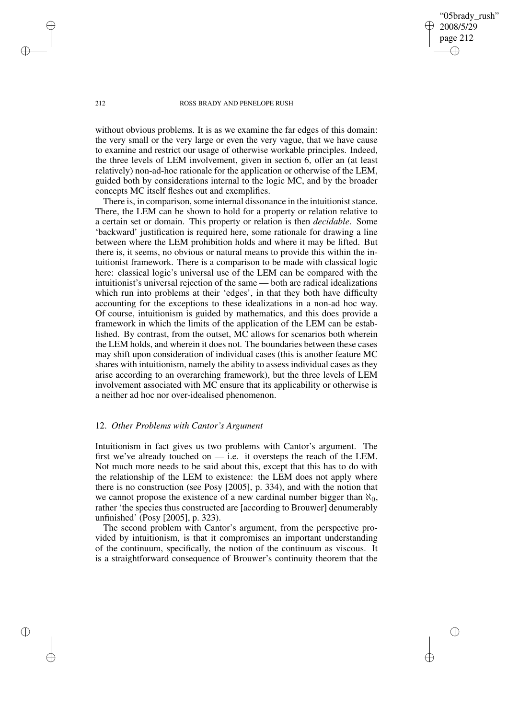"05brady\_rush" 2008/5/29 page 212 ✐ ✐

✐

✐

#### 212 ROSS BRADY AND PENELOPE RUSH

without obvious problems. It is as we examine the far edges of this domain: the very small or the very large or even the very vague, that we have cause to examine and restrict our usage of otherwise workable principles. Indeed, the three levels of LEM involvement, given in section 6, offer an (at least relatively) non-ad-hoc rationale for the application or otherwise of the LEM, guided both by considerations internal to the logic MC, and by the broader concepts MC itself fleshes out and exemplifies.

There is, in comparison, some internal dissonance in the intuitionist stance. There, the LEM can be shown to hold for a property or relation relative to a certain set or domain. This property or relation is then *decidable*. Some 'backward' justification is required here, some rationale for drawing a line between where the LEM prohibition holds and where it may be lifted. But there is, it seems, no obvious or natural means to provide this within the intuitionist framework. There is a comparison to be made with classical logic here: classical logic's universal use of the LEM can be compared with the intuitionist's universal rejection of the same — both are radical idealizations which run into problems at their 'edges', in that they both have difficulty accounting for the exceptions to these idealizations in a non-ad hoc way. Of course, intuitionism is guided by mathematics, and this does provide a framework in which the limits of the application of the LEM can be established. By contrast, from the outset, MC allows for scenarios both wherein the LEM holds, and wherein it does not. The boundaries between these cases may shift upon consideration of individual cases (this is another feature MC shares with intuitionism, namely the ability to assess individual cases as they arise according to an overarching framework), but the three levels of LEM involvement associated with MC ensure that its applicability or otherwise is a neither ad hoc nor over-idealised phenomenon.

#### 12. *Other Problems with Cantor's Argument*

Intuitionism in fact gives us two problems with Cantor's argument. The first we've already touched on  $-$  i.e. it oversteps the reach of the LEM. Not much more needs to be said about this, except that this has to do with the relationship of the LEM to existence: the LEM does not apply where there is no construction (see Posy [2005], p. 334), and with the notion that we cannot propose the existence of a new cardinal number bigger than  $\aleph_0$ , rather 'the species thus constructed are [according to Brouwer] denumerably unfinished' (Posy [2005], p. 323).

The second problem with Cantor's argument, from the perspective provided by intuitionism, is that it compromises an important understanding of the continuum, specifically, the notion of the continuum as viscous. It is a straightforward consequence of Brouwer's continuity theorem that the

✐

✐

✐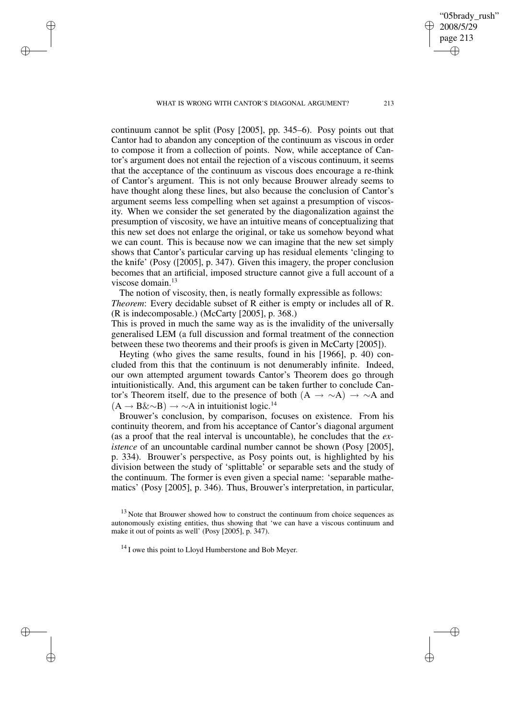WHAT IS WRONG WITH CANTOR'S DIAGONAL ARGUMENT? 213

✐

✐

✐

✐

continuum cannot be split (Posy [2005], pp. 345–6). Posy points out that Cantor had to abandon any conception of the continuum as viscous in order to compose it from a collection of points. Now, while acceptance of Cantor's argument does not entail the rejection of a viscous continuum, it seems that the acceptance of the continuum as viscous does encourage a re-think of Cantor's argument. This is not only because Brouwer already seems to have thought along these lines, but also because the conclusion of Cantor's argument seems less compelling when set against a presumption of viscosity. When we consider the set generated by the diagonalization against the presumption of viscosity, we have an intuitive means of conceptualizing that this new set does not enlarge the original, or take us somehow beyond what we can count. This is because now we can imagine that the new set simply shows that Cantor's particular carving up has residual elements 'clinging to the knife' (Posy ([2005], p. 347). Given this imagery, the proper conclusion becomes that an artificial, imposed structure cannot give a full account of a viscose domain.<sup>13</sup>

The notion of viscosity, then, is neatly formally expressible as follows: *Theorem*: Every decidable subset of R either is empty or includes all of R. (R is indecomposable.) (McCarty [2005], p. 368.)

This is proved in much the same way as is the invalidity of the universally generalised LEM (a full discussion and formal treatment of the connection between these two theorems and their proofs is given in McCarty [2005]).

Heyting (who gives the same results, found in his [1966], p. 40) concluded from this that the continuum is not denumerably infinite. Indeed, our own attempted argument towards Cantor's Theorem does go through intuitionistically. And, this argument can be taken further to conclude Cantor's Theorem itself, due to the presence of both  $(A \rightarrow \sim A) \rightarrow \sim A$  and  $(A \rightarrow B\&\sim B) \rightarrow \sim A$  in intuitionist logic.<sup>14</sup>

Brouwer's conclusion, by comparison, focuses on existence. From his continuity theorem, and from his acceptance of Cantor's diagonal argument (as a proof that the real interval is uncountable), he concludes that the *existence* of an uncountable cardinal number cannot be shown (Posy [2005], p. 334). Brouwer's perspective, as Posy points out, is highlighted by his division between the study of 'splittable' or separable sets and the study of the continuum. The former is even given a special name: 'separable mathematics' (Posy [2005], p. 346). Thus, Brouwer's interpretation, in particular,

 $13$  Note that Brouwer showed how to construct the continuum from choice sequences as autonomously existing entities, thus showing that 'we can have a viscous continuum and make it out of points as well' (Posy [2005], p. 347).

 $14$  I owe this point to Lloyd Humberstone and Bob Meyer.

"05brady\_rush" 2008/5/29 page 213

✐

✐

✐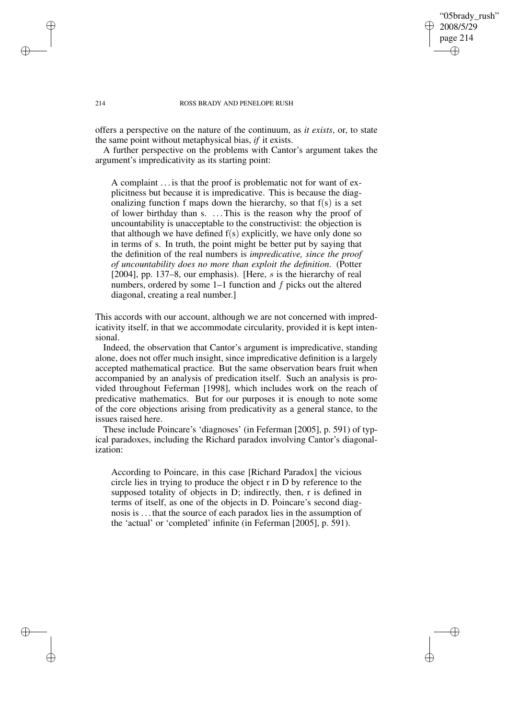#### "05brady\_rush" 2008/5/29 page 214 ✐ ✐

✐

✐

#### 214 ROSS BRADY AND PENELOPE RUSH

offers a perspective on the nature of the continuum, as *it exists*, or, to state the same point without metaphysical bias, *if* it exists.

A further perspective on the problems with Cantor's argument takes the argument's impredicativity as its starting point:

A complaint . . . is that the proof is problematic not for want of explicitness but because it is impredicative. This is because the diagonalizing function f maps down the hierarchy, so that  $f(s)$  is a set of lower birthday than s. . . .This is the reason why the proof of uncountability is unacceptable to the constructivist: the objection is that although we have defined  $f(s)$  explicitly, we have only done so in terms of s. In truth, the point might be better put by saying that the definition of the real numbers is *impredicative, since the proof of uncountability does no more than exploit the definition*. (Potter [2004], pp. 137–8, our emphasis). [Here, s is the hierarchy of real numbers, ordered by some 1–1 function and f picks out the altered diagonal, creating a real number.]

This accords with our account, although we are not concerned with impredicativity itself, in that we accommodate circularity, provided it is kept intensional.

Indeed, the observation that Cantor's argument is impredicative, standing alone, does not offer much insight, since impredicative definition is a largely accepted mathematical practice. But the same observation bears fruit when accompanied by an analysis of predication itself. Such an analysis is provided throughout Feferman [1998], which includes work on the reach of predicative mathematics. But for our purposes it is enough to note some of the core objections arising from predicativity as a general stance, to the issues raised here.

These include Poincare's 'diagnoses' (in Feferman [2005], p. 591) of typical paradoxes, including the Richard paradox involving Cantor's diagonalization:

According to Poincare, in this case [Richard Paradox] the vicious circle lies in trying to produce the object r in D by reference to the supposed totality of objects in D; indirectly, then, r is defined in terms of itself, as one of the objects in D. Poincare's second diagnosis is . . . that the source of each paradox lies in the assumption of the 'actual' or 'completed' infinite (in Feferman [2005], p. 591).

✐

✐

✐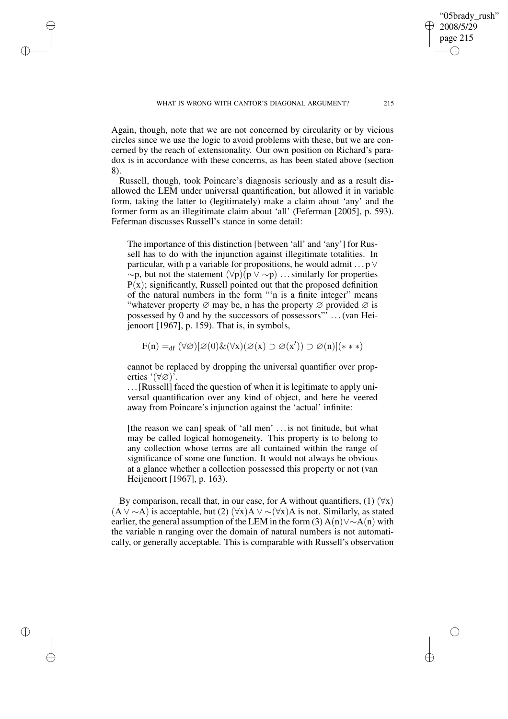WHAT IS WRONG WITH CANTOR'S DIAGONAL ARGUMENT? 215

Again, though, note that we are not concerned by circularity or by vicious circles since we use the logic to avoid problems with these, but we are concerned by the reach of extensionality. Our own position on Richard's paradox is in accordance with these concerns, as has been stated above (section 8).

✐

✐

✐

✐

Russell, though, took Poincare's diagnosis seriously and as a result disallowed the LEM under universal quantification, but allowed it in variable form, taking the latter to (legitimately) make a claim about 'any' and the former form as an illegitimate claim about 'all' (Feferman [2005], p. 593). Feferman discusses Russell's stance in some detail:

The importance of this distinction [between 'all' and 'any'] for Russell has to do with the injunction against illegitimate totalities. In particular, with p a variable for propositions, he would admit  $\ldots$  p  $\vee$  $~\sim$ p, but not the statement  $(\forall p)(p \vee \sim p)$  ... similarly for properties  $P(x)$ ; significantly, Russell pointed out that the proposed definition of the natural numbers in the form "'n is a finite integer" means "whatever property  $\varnothing$  may be, n has the property  $\varnothing$  provided  $\varnothing$  is possessed by  $\hat{0}$  and by the successors of possessors"  $\hat{1}$ ...(van Heijenoort [1967], p. 159). That is, in symbols,

$$
F(n) =_{df} (\forall \varnothing) [\varnothing(0) \& (\forall x) (\varnothing(x) \supset \varnothing(x')) \supset \varnothing(n)] (**)
$$

cannot be replaced by dropping the universal quantifier over properties '(∀∅)'.

. . .[Russell] faced the question of when it is legitimate to apply universal quantification over any kind of object, and here he veered away from Poincare's injunction against the 'actual' infinite:

[the reason we can] speak of 'all men' ... is not finitude, but what may be called logical homogeneity. This property is to belong to any collection whose terms are all contained within the range of significance of some one function. It would not always be obvious at a glance whether a collection possessed this property or not (van Heijenoort [1967], p. 163).

By comparison, recall that, in our case, for A without quantifiers, (1)  $(\forall x)$  $(A \vee \sim A)$  is acceptable, but (2)  $(\forall x)A \vee \sim (\forall x)A$  is not. Similarly, as stated earlier, the general assumption of the LEM in the form (3) A(n)∨∼A(n) with the variable n ranging over the domain of natural numbers is not automatically, or generally acceptable. This is comparable with Russell's observation

"05brady\_rush" 2008/5/29 page 215

✐

✐

✐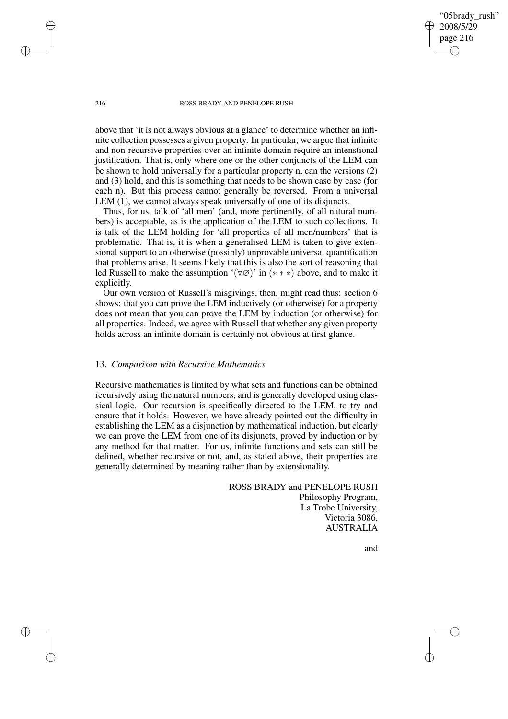"05brady\_rush" 2008/5/29 page 216 ✐ ✐

#### 216 ROSS BRADY AND PENELOPE RUSH

above that 'it is not always obvious at a glance' to determine whether an infinite collection possesses a given property. In particular, we argue that infinite and non-recursive properties over an infinite domain require an intenstional justification. That is, only where one or the other conjuncts of the LEM can be shown to hold universally for a particular property n, can the versions (2) and (3) hold, and this is something that needs to be shown case by case (for each n). But this process cannot generally be reversed. From a universal LEM  $(1)$ , we cannot always speak universally of one of its disjuncts.

Thus, for us, talk of 'all men' (and, more pertinently, of all natural numbers) is acceptable, as is the application of the LEM to such collections. It is talk of the LEM holding for 'all properties of all men/numbers' that is problematic. That is, it is when a generalised LEM is taken to give extensional support to an otherwise (possibly) unprovable universal quantification that problems arise. It seems likely that this is also the sort of reasoning that led Russell to make the assumption ' $(\forall \emptyset)$ ' in  $(* **)$  above, and to make it explicitly.

Our own version of Russell's misgivings, then, might read thus: section 6 shows: that you can prove the LEM inductively (or otherwise) for a property does not mean that you can prove the LEM by induction (or otherwise) for all properties. Indeed, we agree with Russell that whether any given property holds across an infinite domain is certainly not obvious at first glance.

#### 13. *Comparison with Recursive Mathematics*

Recursive mathematics is limited by what sets and functions can be obtained recursively using the natural numbers, and is generally developed using classical logic. Our recursion is specifically directed to the LEM, to try and ensure that it holds. However, we have already pointed out the difficulty in establishing the LEM as a disjunction by mathematical induction, but clearly we can prove the LEM from one of its disjuncts, proved by induction or by any method for that matter. For us, infinite functions and sets can still be defined, whether recursive or not, and, as stated above, their properties are generally determined by meaning rather than by extensionality.

> ROSS BRADY and PENELOPE RUSH Philosophy Program, La Trobe University, Victoria 3086, **AUSTRALIA**

> > and

✐

✐

✐

✐

✐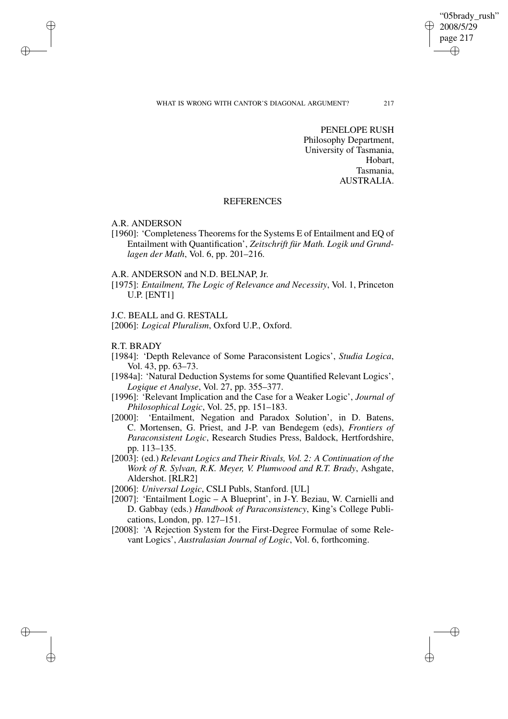#### "05brady\_rush" 2008/5/29 page 217 ✐ ✐

✐

✐

#### WHAT IS WRONG WITH CANTOR'S DIAGONAL ARGUMENT? 217

PENELOPE RUSH Philosophy Department, University of Tasmania, Hobart, Tasmania, AUSTRALIA.

## **REFERENCES**

A.R. ANDERSON

✐

✐

✐

✐

- [1960]: 'Completeness Theorems for the Systems E of Entailment and EQ of Entailment with Quantification', *Zeitschrift für Math. Logik und Grundlagen der Math*, Vol. 6, pp. 201–216.
- A.R. ANDERSON and N.D. BELNAP, Jr.
- [1975]: *Entailment, The Logic of Relevance and Necessity*, Vol. 1, Princeton U.P. [ENT1]
- J.C. BEALL and G. RESTALL

[2006]: *Logical Pluralism*, Oxford U.P., Oxford.

## R.T. BRADY

- [1984]: 'Depth Relevance of Some Paraconsistent Logics', *Studia Logica*, Vol. 43, pp. 63–73.
- [1984a]: 'Natural Deduction Systems for some Quantified Relevant Logics', *Logique et Analyse*, Vol. 27, pp. 355–377.
- [1996]: 'Relevant Implication and the Case for a Weaker Logic', *Journal of Philosophical Logic*, Vol. 25, pp. 151–183.
- [2000]: 'Entailment, Negation and Paradox Solution', in D. Batens, C. Mortensen, G. Priest, and J-P. van Bendegem (eds), *Frontiers of Paraconsistent Logic*, Research Studies Press, Baldock, Hertfordshire, pp. 113–135.
- [2003]: (ed.) *Relevant Logics and Their Rivals, Vol. 2: A Continuation of the Work of R. Sylvan, R.K. Meyer, V. Plumwood and R.T. Brady*, Ashgate, Aldershot. [RLR2]
- [2006]: *Universal Logic*, CSLI Publs, Stanford. [UL]
- [2007]: 'Entailment Logic A Blueprint', in J-Y. Beziau, W. Carnielli and D. Gabbay (eds.) *Handbook of Paraconsistency*, King's College Publications, London, pp. 127–151.
- [2008]: 'A Rejection System for the First-Degree Formulae of some Relevant Logics', *Australasian Journal of Logic*, Vol. 6, forthcoming.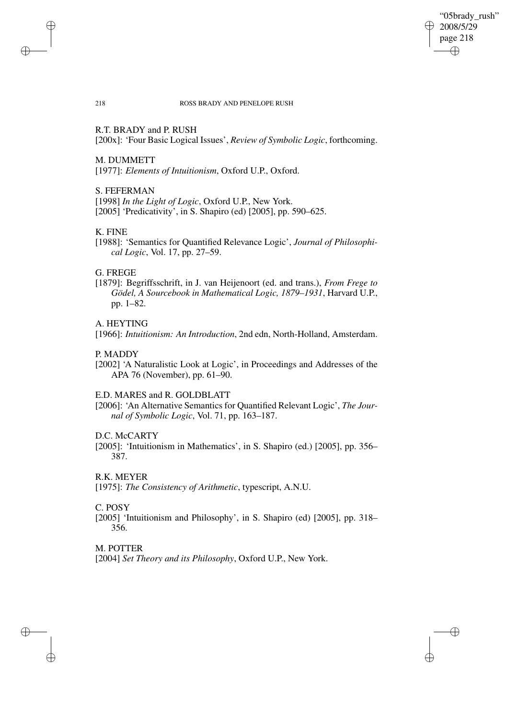"05brady\_rush" 2008/5/29 page 218 ✐ ✐

✐

✐

#### 218 ROSS BRADY AND PENELOPE RUSH

## R.T. BRADY and P. RUSH

[200x]: 'Four Basic Logical Issues', *Review of Symbolic Logic*, forthcoming.

#### M. DUMMETT

[1977]: *Elements of Intuitionism*, Oxford U.P., Oxford.

## S. FEFERMAN

[1998] *In the Light of Logic*, Oxford U.P., New York. [2005] 'Predicativity', in S. Shapiro (ed) [2005], pp. 590–625.

## K. FINE

✐

✐

[1988]: 'Semantics for Quantified Relevance Logic', *Journal of Philosophical Logic*, Vol. 17, pp. 27–59.

## G. FREGE

[1879]: Begriffsschrift, in J. van Heijenoort (ed. and trans.), *From Frege to Gödel, A Sourcebook in Mathematical Logic, 1879–1931*, Harvard U.P., pp. 1–82.

## A. HEYTING

[1966]: *Intuitionism: An Introduction*, 2nd edn, North-Holland, Amsterdam.

## P. MADDY

[2002] 'A Naturalistic Look at Logic', in Proceedings and Addresses of the APA 76 (November), pp. 61–90.

#### E.D. MARES and R. GOLDBLATT

[2006]: 'An Alternative Semantics for Quantified Relevant Logic', *The Journal of Symbolic Logic*, Vol. 71, pp. 163–187.

## D.C. McCARTY

[2005]: 'Intuitionism in Mathematics', in S. Shapiro (ed.) [2005], pp. 356– 387.

## R.K. MEYER

[1975]: *The Consistency of Arithmetic*, typescript, A.N.U.

#### C. POSY

[2005] 'Intuitionism and Philosophy', in S. Shapiro (ed) [2005], pp. 318– 356.

## M. POTTER

✐

✐

[2004] *Set Theory and its Philosophy*, Oxford U.P., New York.